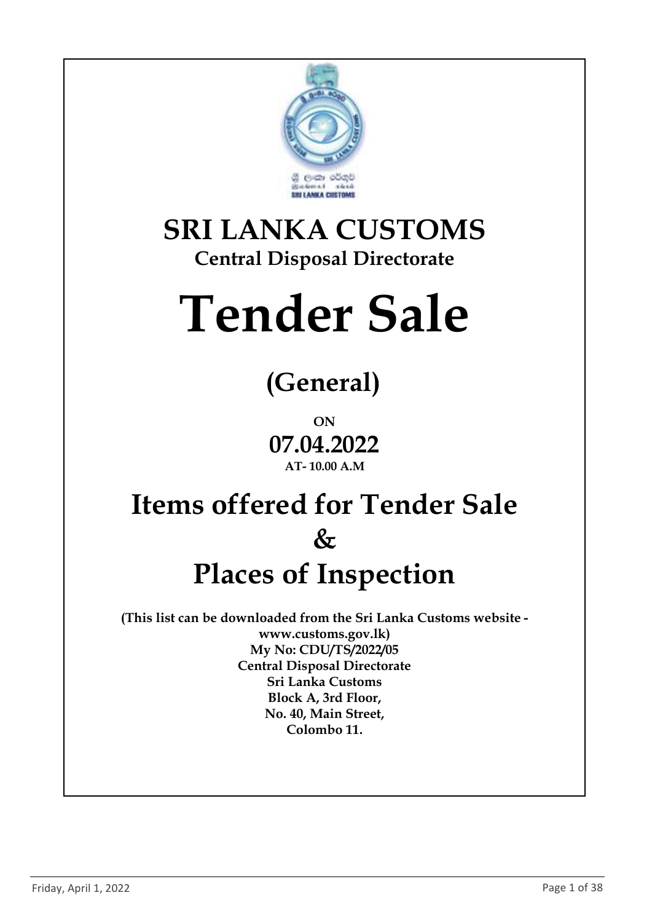

### **SRI LANKA CUSTOMS Central Disposal Directorate**

# **Tender Sale**

# **(General)**

**ON 07.04.2022 AT- 10.00 A.M**

## **Items offered for Tender Sale & Places of Inspection**

**(This list can be downloaded from the Sri Lanka Customs website www.customs.gov.lk) My No: CDU/TS/2022/05 Central Disposal Directorate Sri Lanka Customs Block A, 3rd Floor, No. 40, Main Street, Colombo 11.**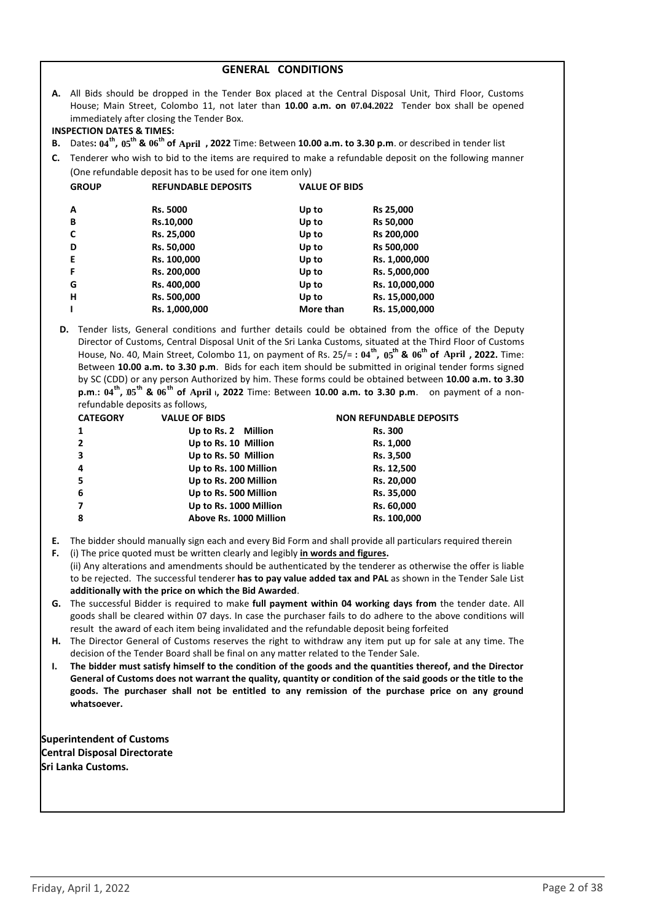|  | <b>GENERAL CONDITIONS</b> |
|--|---------------------------|
|--|---------------------------|

**A.** All Bids should be dropped in the Tender Box placed at the Central Disposal Unit, Third Floor, Customs House; Main Street, Colombo 11, not later than **10.00 a.m. on 07.04.2022** Tender box shall be opened immediately after closing the Tender Box.

#### **INSPECTION DATES & TIMES:**

- **8.** Dates:  $04^{\text{th}}$ ,  $05^{\text{th}}$  &  $06^{\text{th}}$  of April , 2022 Time: Between 10.00 a.m. to 3.30 p.m. or described in tender list
- **C.** Tenderer who wish to bid to the items are required to make a refundable deposit on the following manner (One refundable deposit has to be used for one item only)

| <b>GROUP</b> | <b>REFUNDABLE DEPOSITS</b> | <b>VALUE OF BIDS</b> |                |
|--------------|----------------------------|----------------------|----------------|
| A            | <b>Rs. 5000</b>            | Up to                | Rs 25,000      |
| B            | Rs.10,000                  | Up to                | Rs 50,000      |
| C            | Rs. 25,000                 | Up to                | Rs 200,000     |
| D            | Rs. 50,000                 | Up to                | Rs 500,000     |
| Е            | Rs. 100,000                | Up to                | Rs. 1,000,000  |
| F            | Rs. 200,000                | Up to                | Rs. 5,000,000  |
| G            | Rs. 400,000                | Up to                | Rs. 10,000,000 |
| н            | Rs. 500,000                | Up to                | Rs. 15,000,000 |
|              | Rs. 1,000,000              | More than            | Rs. 15,000,000 |
|              |                            |                      |                |

**D.** Tender lists, General conditions and further details could be obtained from the office of the Deputy Director of Customs, Central Disposal Unit of the Sri Lanka Customs, situated at the Third Floor of Customs House, No. 40, Main Street, Colombo 11, on payment of Rs. 25/=:  $04^{\text{th}}$ ,  $05^{\text{th}}$  &  $06^{\text{th}}$  of April , 2022. Time: Between **10.00 a.m. to 3.30 p.m**. Bids for each item should be submitted in original tender forms signed by SC (CDD) or any person Authorized by him. These forms could be obtained between **10.00 a.m. to 3.30 p.m**.: 04<sup>th</sup>, 05<sup>th</sup> & 06<sup>th</sup> of April 1, 2022 Time: Between 10.00 a.m. to 3.30 p.m. on payment of a nonrefundable deposits as follows,

| <b>VALUE OF BIDS</b>   | <b>NON REFUNDABLE DEPOSITS</b> |
|------------------------|--------------------------------|
| Up to Rs. 2 Million    | <b>Rs. 300</b>                 |
| Up to Rs. 10 Million   | Rs. 1,000                      |
| Up to Rs. 50 Million   | Rs. 3,500                      |
| Up to Rs. 100 Million  | Rs. 12,500                     |
| Up to Rs. 200 Million  | Rs. 20,000                     |
| Up to Rs. 500 Million  | Rs. 35,000                     |
| Up to Rs. 1000 Million | Rs. 60,000                     |
| Above Rs. 1000 Million | Rs. 100,000                    |
|                        |                                |

- **E.** The bidder should manually sign each and every Bid Form and shall provide all particulars required therein
- **F.** (i) The price quoted must be written clearly and legibly **in words and figures.** (ii) Any alterations and amendments should be authenticated by the tenderer as otherwise the offer is liable to be rejected. The successful tenderer **has to pay value added tax and PAL** as shown in the Tender Sale List **additionally with the price on which the Bid Awarded**.
- **G.** The successful Bidder is required to make **full payment within 04 working days from** the tender date. All goods shall be cleared within 07 days. In case the purchaser fails to do adhere to the above conditions will result the award of each item being invalidated and the refundable deposit being forfeited
- **H.** The Director General of Customs reserves the right to withdraw any item put up for sale at any time. The decision of the Tender Board shall be final on any matter related to the Tender Sale.
- **I. The bidder must satisfy himself to the condition of the goods and the quantities thereof, and the Director General of Customs does not warrant the quality, quantity or condition of the said goods or the title to the goods. The purchaser shall not be entitled to any remission of the purchase price on any ground whatsoever.**

**Superintendent of Customs Central Disposal Directorate Sri Lanka Customs.**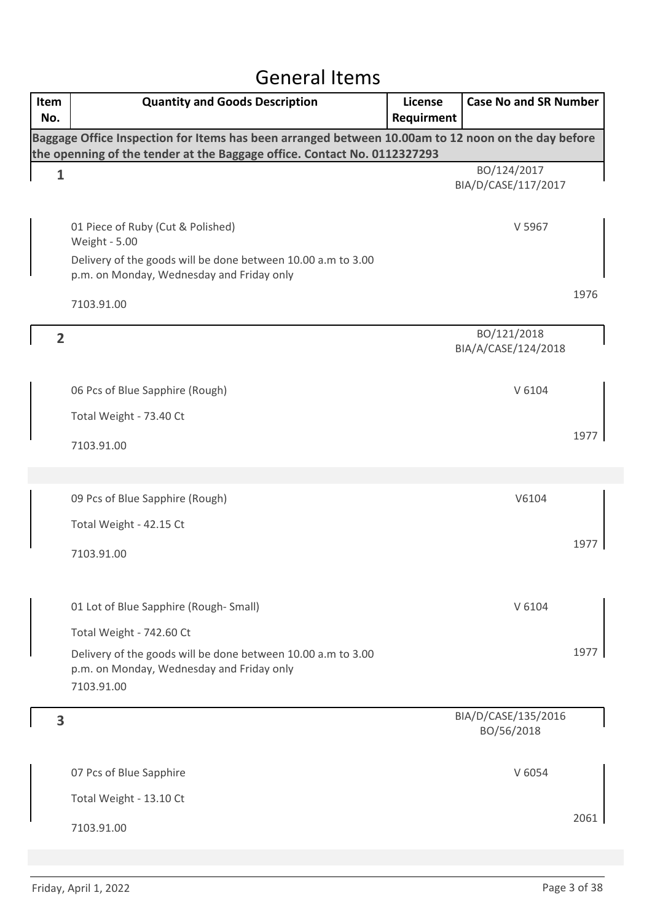### General Items

| Item<br>No.                                                                                                                                                                    | <b>Quantity and Goods Description</b>                                                                                   | <b>License</b><br>Requirment | <b>Case No and SR Number</b>       |      |  |
|--------------------------------------------------------------------------------------------------------------------------------------------------------------------------------|-------------------------------------------------------------------------------------------------------------------------|------------------------------|------------------------------------|------|--|
| Baggage Office Inspection for Items has been arranged between 10.00am to 12 noon on the day before<br>the openning of the tender at the Baggage office. Contact No. 0112327293 |                                                                                                                         |                              |                                    |      |  |
| $\mathbf{1}$                                                                                                                                                                   |                                                                                                                         |                              | BO/124/2017<br>BIA/D/CASE/117/2017 |      |  |
|                                                                                                                                                                                | 01 Piece of Ruby (Cut & Polished)<br>Weight - 5.00                                                                      |                              | V 5967                             |      |  |
|                                                                                                                                                                                | Delivery of the goods will be done between 10.00 a.m to 3.00<br>p.m. on Monday, Wednesday and Friday only               |                              |                                    |      |  |
|                                                                                                                                                                                | 7103.91.00                                                                                                              |                              |                                    | 1976 |  |
| $\overline{2}$                                                                                                                                                                 |                                                                                                                         |                              | BO/121/2018<br>BIA/A/CASE/124/2018 |      |  |
|                                                                                                                                                                                | 06 Pcs of Blue Sapphire (Rough)                                                                                         |                              | V 6104                             |      |  |
|                                                                                                                                                                                | Total Weight - 73.40 Ct                                                                                                 |                              |                                    |      |  |
|                                                                                                                                                                                | 7103.91.00                                                                                                              |                              |                                    | 1977 |  |
|                                                                                                                                                                                |                                                                                                                         |                              |                                    |      |  |
|                                                                                                                                                                                | 09 Pcs of Blue Sapphire (Rough)                                                                                         |                              | V6104                              |      |  |
|                                                                                                                                                                                | Total Weight - 42.15 Ct                                                                                                 |                              |                                    |      |  |
|                                                                                                                                                                                | 7103.91.00                                                                                                              |                              |                                    | 1977 |  |
|                                                                                                                                                                                | 01 Lot of Blue Sapphire (Rough-Small)                                                                                   |                              | V 6104                             |      |  |
|                                                                                                                                                                                | Total Weight - 742.60 Ct                                                                                                |                              |                                    |      |  |
|                                                                                                                                                                                | Delivery of the goods will be done between 10.00 a.m to 3.00<br>p.m. on Monday, Wednesday and Friday only<br>7103.91.00 |                              |                                    | 1977 |  |
| 3                                                                                                                                                                              |                                                                                                                         |                              | BIA/D/CASE/135/2016<br>BO/56/2018  |      |  |
|                                                                                                                                                                                | 07 Pcs of Blue Sapphire                                                                                                 |                              | V 6054                             |      |  |
|                                                                                                                                                                                | Total Weight - 13.10 Ct                                                                                                 |                              |                                    |      |  |
|                                                                                                                                                                                | 7103.91.00                                                                                                              |                              |                                    | 2061 |  |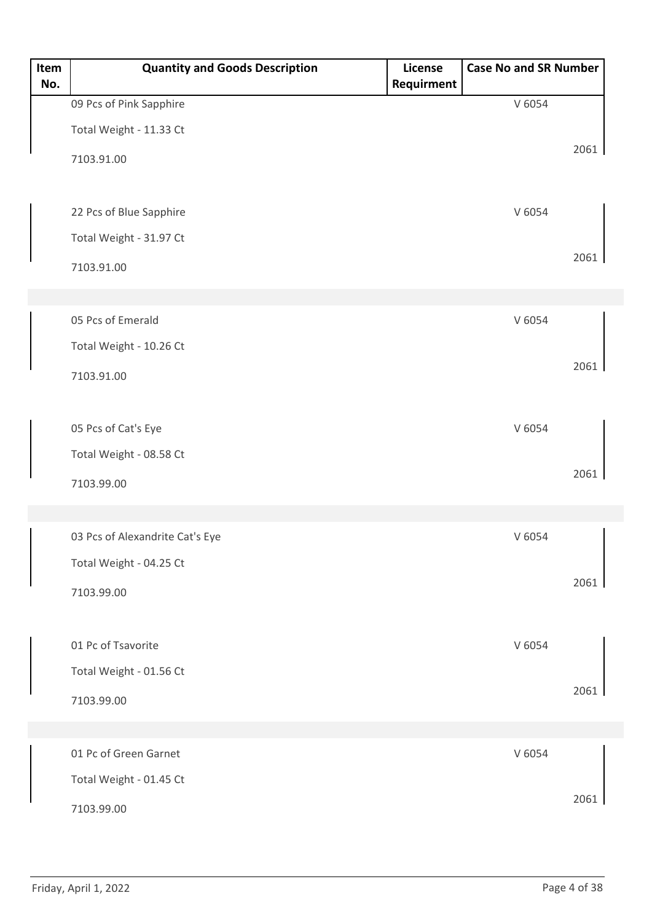| Item<br>No. | <b>Quantity and Goods Description</b> | License<br>Requirment | <b>Case No and SR Number</b> |      |
|-------------|---------------------------------------|-----------------------|------------------------------|------|
|             | 09 Pcs of Pink Sapphire               |                       | V 6054                       |      |
|             | Total Weight - 11.33 Ct               |                       |                              |      |
|             | 7103.91.00                            |                       |                              | 2061 |
|             | 22 Pcs of Blue Sapphire               |                       | V 6054                       |      |
|             | Total Weight - 31.97 Ct<br>7103.91.00 |                       |                              | 2061 |
|             |                                       |                       |                              |      |
|             | 05 Pcs of Emerald                     |                       | V 6054                       |      |
|             | Total Weight - 10.26 Ct               |                       |                              |      |
|             | 7103.91.00                            |                       |                              | 2061 |
|             |                                       |                       |                              |      |
|             | 05 Pcs of Cat's Eye                   |                       | V 6054                       |      |
|             | Total Weight - 08.58 Ct               |                       |                              |      |
|             | 7103.99.00                            |                       |                              | 2061 |
|             |                                       |                       |                              |      |
|             | 03 Pcs of Alexandrite Cat's Eye       |                       | V 6054                       |      |
|             | Total Weight - 04.25 Ct               |                       |                              |      |
|             | 7103.99.00                            |                       |                              | 2061 |
|             |                                       |                       |                              |      |
|             | 01 Pc of Tsavorite                    |                       | V 6054                       |      |
|             | Total Weight - 01.56 Ct               |                       |                              |      |
|             | 7103.99.00                            |                       |                              | 2061 |
|             |                                       |                       |                              |      |
|             | 01 Pc of Green Garnet                 |                       | V 6054                       |      |
|             | Total Weight - 01.45 Ct               |                       |                              |      |
|             | 7103.99.00                            |                       |                              | 2061 |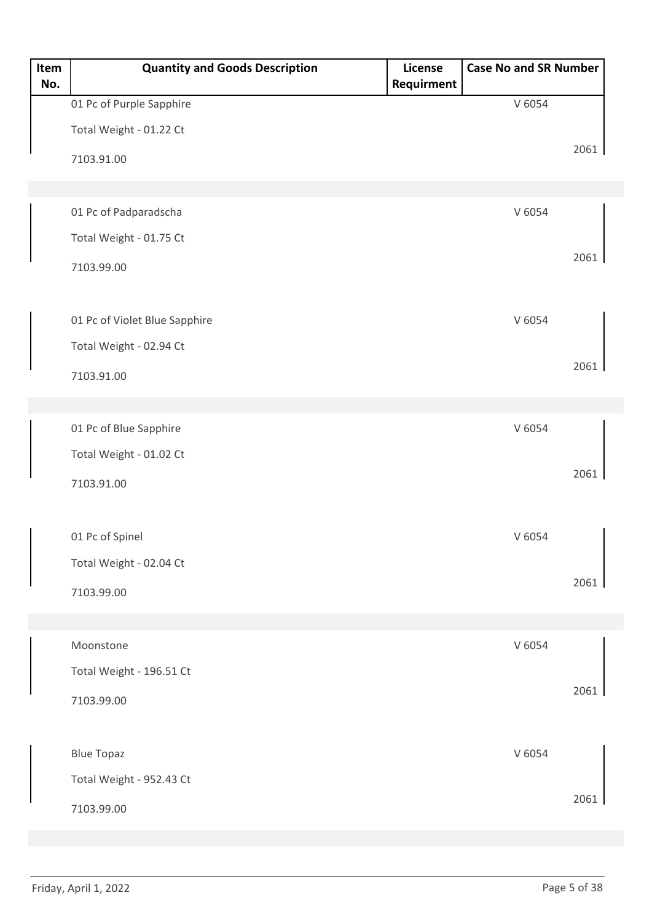| Item<br>No. | <b>Quantity and Goods Description</b> | License<br>Requirment | <b>Case No and SR Number</b> |      |
|-------------|---------------------------------------|-----------------------|------------------------------|------|
|             | 01 Pc of Purple Sapphire              |                       | V 6054                       |      |
|             | Total Weight - 01.22 Ct               |                       |                              |      |
|             | 7103.91.00                            |                       |                              | 2061 |
|             |                                       |                       |                              |      |
|             | 01 Pc of Padparadscha                 |                       | V 6054                       |      |
|             | Total Weight - 01.75 Ct               |                       |                              |      |
|             | 7103.99.00                            |                       |                              | 2061 |
|             |                                       |                       |                              |      |
|             | 01 Pc of Violet Blue Sapphire         |                       | V 6054                       |      |
|             | Total Weight - 02.94 Ct               |                       |                              |      |
|             | 7103.91.00                            |                       |                              | 2061 |
|             |                                       |                       |                              |      |
|             | 01 Pc of Blue Sapphire                |                       | V 6054                       |      |
|             | Total Weight - 01.02 Ct               |                       |                              |      |
|             | 7103.91.00                            |                       |                              | 2061 |
|             |                                       |                       |                              |      |
|             | 01 Pc of Spinel                       |                       | V 6054                       |      |
|             | Total Weight - 02.04 Ct               |                       |                              |      |
|             | 7103.99.00                            |                       |                              | 2061 |
|             |                                       |                       |                              |      |
|             | Moonstone                             |                       | V 6054                       |      |
|             | Total Weight - 196.51 Ct              |                       |                              |      |
|             | 7103.99.00                            |                       |                              | 2061 |
|             |                                       |                       |                              |      |
|             | <b>Blue Topaz</b>                     |                       | V 6054                       |      |
|             | Total Weight - 952.43 Ct              |                       |                              |      |
|             | 7103.99.00                            |                       |                              | 2061 |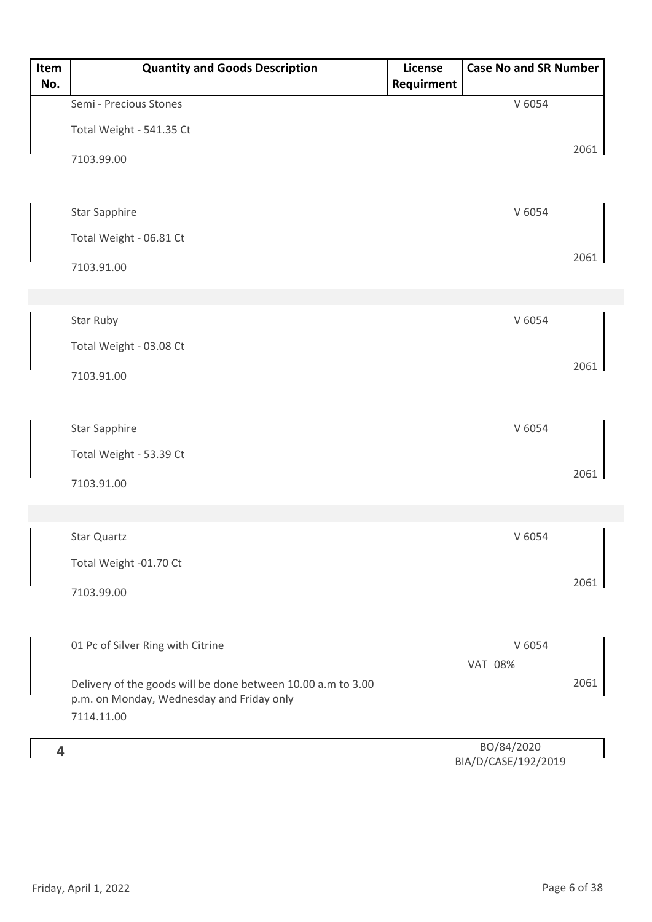| Item<br>No. | <b>Quantity and Goods Description</b>                        | License<br>Requirment | <b>Case No and SR Number</b>       |      |
|-------------|--------------------------------------------------------------|-----------------------|------------------------------------|------|
|             | Semi - Precious Stones                                       |                       | V 6054                             |      |
|             | Total Weight - 541.35 Ct                                     |                       |                                    |      |
|             | 7103.99.00                                                   |                       |                                    | 2061 |
|             | <b>Star Sapphire</b>                                         |                       | V 6054                             |      |
|             | Total Weight - 06.81 Ct                                      |                       |                                    |      |
|             | 7103.91.00                                                   |                       |                                    | 2061 |
|             | Star Ruby                                                    |                       | V 6054                             |      |
|             | Total Weight - 03.08 Ct                                      |                       |                                    |      |
|             |                                                              |                       |                                    | 2061 |
|             | 7103.91.00                                                   |                       |                                    |      |
|             | <b>Star Sapphire</b>                                         |                       | V 6054                             |      |
|             | Total Weight - 53.39 Ct                                      |                       |                                    |      |
|             | 7103.91.00                                                   |                       |                                    | 2061 |
|             |                                                              |                       |                                    |      |
|             | Star Quartz                                                  |                       | V 6054                             |      |
|             | Total Weight -01.70 Ct                                       |                       |                                    |      |
|             | 7103.99.00                                                   |                       |                                    | 2061 |
|             | 01 Pc of Silver Ring with Citrine                            |                       | V 6054                             |      |
|             | Delivery of the goods will be done between 10.00 a.m to 3.00 |                       | <b>VAT 08%</b>                     | 2061 |
|             | p.m. on Monday, Wednesday and Friday only                    |                       |                                    |      |
|             | 7114.11.00                                                   |                       |                                    |      |
| 4           |                                                              |                       | BO/84/2020<br>DIA/DI/CACE/102/2010 |      |

BIA/D/CASE/192/2019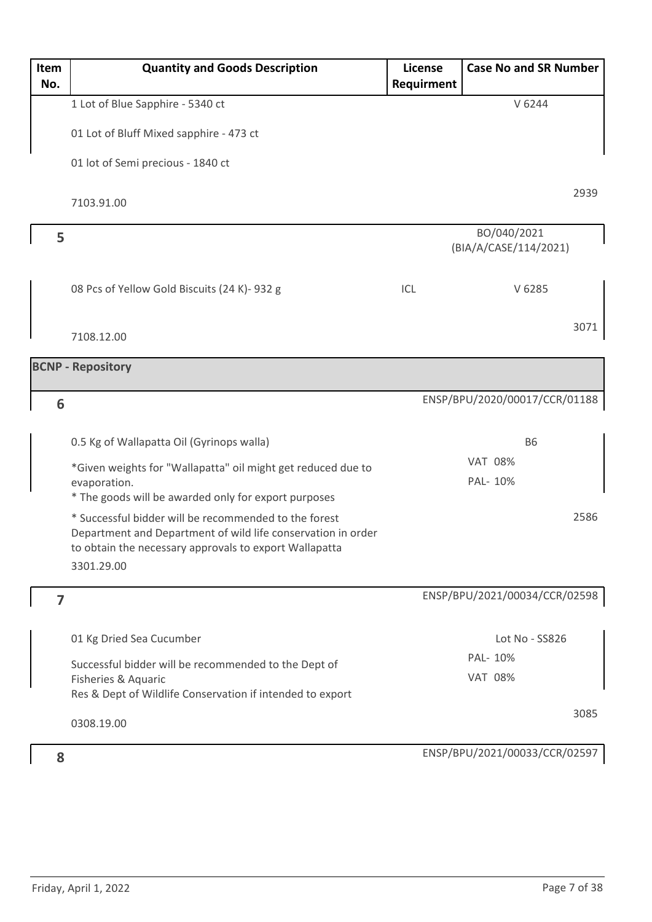| Item<br>No. | <b>Quantity and Goods Description</b>                                                                                                                                                         | <b>License</b><br>Requirment | <b>Case No and SR Number</b>         |
|-------------|-----------------------------------------------------------------------------------------------------------------------------------------------------------------------------------------------|------------------------------|--------------------------------------|
|             | 1 Lot of Blue Sapphire - 5340 ct                                                                                                                                                              |                              | V 6244                               |
|             | 01 Lot of Bluff Mixed sapphire - 473 ct                                                                                                                                                       |                              |                                      |
|             | 01 lot of Semi precious - 1840 ct                                                                                                                                                             |                              |                                      |
|             | 7103.91.00                                                                                                                                                                                    |                              | 2939                                 |
| 5           |                                                                                                                                                                                               |                              | BO/040/2021<br>(BIA/A/CASE/114/2021) |
|             | 08 Pcs of Yellow Gold Biscuits (24 K)- 932 g                                                                                                                                                  | ICL                          | V 6285                               |
|             | 7108.12.00                                                                                                                                                                                    |                              | 3071                                 |
|             | <b>BCNP - Repository</b>                                                                                                                                                                      |                              |                                      |
| 6           |                                                                                                                                                                                               |                              | ENSP/BPU/2020/00017/CCR/01188        |
|             | 0.5 Kg of Wallapatta Oil (Gyrinops walla)                                                                                                                                                     |                              | <b>B6</b>                            |
|             | *Given weights for "Wallapatta" oil might get reduced due to<br>evaporation.<br>* The goods will be awarded only for export purposes                                                          |                              | <b>VAT 08%</b><br>PAL- 10%           |
|             | * Successful bidder will be recommended to the forest<br>Department and Department of wild life conservation in order<br>to obtain the necessary approvals to export Wallapatta<br>3301.29.00 |                              | 2586                                 |
| 7           |                                                                                                                                                                                               |                              | ENSP/BPU/2021/00034/CCR/02598        |
|             | 01 Kg Dried Sea Cucumber                                                                                                                                                                      |                              | Lot No - SS826                       |
|             | Successful bidder will be recommended to the Dept of<br>Fisheries & Aquaric                                                                                                                   |                              | PAL- 10%<br><b>VAT 08%</b>           |
|             | Res & Dept of Wildlife Conservation if intended to export                                                                                                                                     |                              |                                      |
|             | 0308.19.00                                                                                                                                                                                    |                              | 3085                                 |
| 8           |                                                                                                                                                                                               |                              | ENSP/BPU/2021/00033/CCR/02597        |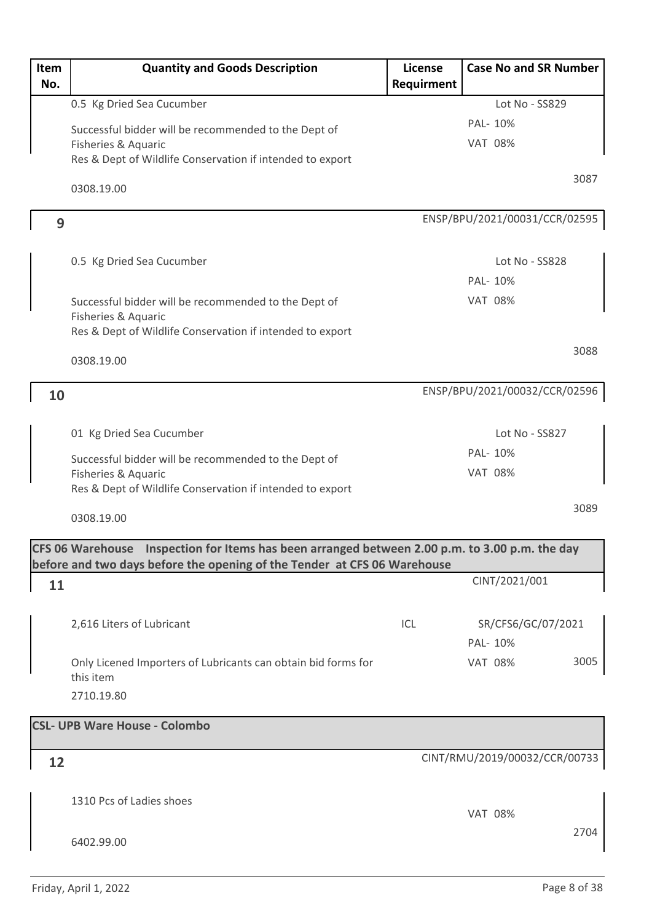| Item<br>No. | <b>Quantity and Goods Description</b>                                                          | License<br>Requirment | <b>Case No and SR Number</b>  |
|-------------|------------------------------------------------------------------------------------------------|-----------------------|-------------------------------|
|             | 0.5 Kg Dried Sea Cucumber                                                                      |                       | Lot No - SS829                |
|             | Successful bidder will be recommended to the Dept of                                           |                       | PAL- 10%                      |
|             | Fisheries & Aquaric                                                                            |                       | <b>VAT 08%</b>                |
|             | Res & Dept of Wildlife Conservation if intended to export                                      |                       |                               |
|             | 0308.19.00                                                                                     |                       | 3087                          |
| 9           |                                                                                                |                       | ENSP/BPU/2021/00031/CCR/02595 |
|             |                                                                                                |                       |                               |
|             | 0.5 Kg Dried Sea Cucumber                                                                      |                       | Lot No - SS828                |
|             |                                                                                                |                       | PAL-10%                       |
|             | Successful bidder will be recommended to the Dept of<br>Fisheries & Aquaric                    |                       | <b>VAT 08%</b>                |
|             | Res & Dept of Wildlife Conservation if intended to export                                      |                       |                               |
|             | 0308.19.00                                                                                     |                       | 3088                          |
| 10          |                                                                                                |                       | ENSP/BPU/2021/00032/CCR/02596 |
|             |                                                                                                |                       |                               |
|             | 01 Kg Dried Sea Cucumber                                                                       |                       | Lot No - SS827                |
|             | Successful bidder will be recommended to the Dept of                                           |                       | PAL-10%                       |
|             | Fisheries & Aquaric                                                                            |                       | <b>VAT 08%</b>                |
|             | Res & Dept of Wildlife Conservation if intended to export                                      |                       |                               |
|             | 0308.19.00                                                                                     |                       | 3089                          |
|             | CFS 06 Warehouse Inspection for Items has been arranged between 2.00 p.m. to 3.00 p.m. the day |                       |                               |
|             | before and two days before the opening of the Tender at CFS 06 Warehouse                       |                       |                               |
| 11          |                                                                                                |                       | CINT/2021/001                 |
|             | 2,616 Liters of Lubricant                                                                      | ICL                   | SR/CFS6/GC/07/2021            |
|             |                                                                                                |                       | PAL-10%                       |
|             | Only Licened Importers of Lubricants can obtain bid forms for                                  |                       | 3005<br><b>VAT 08%</b>        |
|             | this item                                                                                      |                       |                               |
|             | 2710.19.80                                                                                     |                       |                               |
|             | <b>CSL- UPB Ware House - Colombo</b>                                                           |                       |                               |
|             |                                                                                                |                       |                               |
| 12          |                                                                                                |                       | CINT/RMU/2019/00032/CCR/00733 |
|             |                                                                                                |                       |                               |
|             | 1310 Pcs of Ladies shoes                                                                       |                       | <b>VAT 08%</b>                |
|             |                                                                                                |                       | 2704                          |
|             | 6402.99.00                                                                                     |                       |                               |
|             |                                                                                                |                       |                               |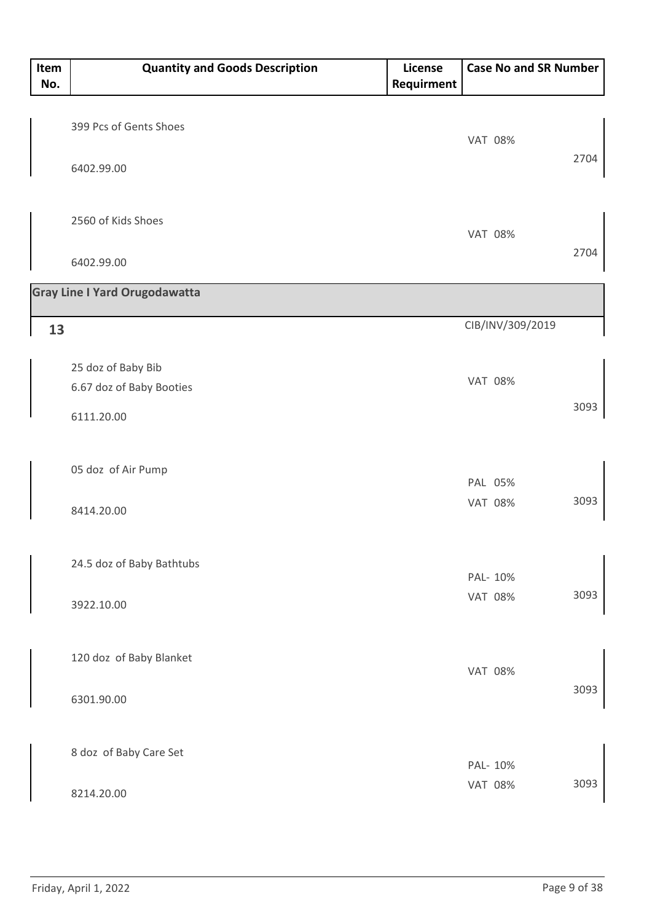| Item<br>No. | <b>Quantity and Goods Description</b>              | License<br>Requirment | <b>Case No and SR Number</b> |      |
|-------------|----------------------------------------------------|-----------------------|------------------------------|------|
|             | 399 Pcs of Gents Shoes                             |                       | <b>VAT 08%</b>               | 2704 |
|             | 6402.99.00                                         |                       |                              |      |
|             | 2560 of Kids Shoes                                 |                       | <b>VAT 08%</b>               | 2704 |
|             | 6402.99.00<br><b>Gray Line I Yard Orugodawatta</b> |                       |                              |      |
| 13          |                                                    |                       | CIB/INV/309/2019             |      |
|             | 25 doz of Baby Bib<br>6.67 doz of Baby Booties     |                       | <b>VAT 08%</b>               |      |
|             | 6111.20.00                                         |                       |                              | 3093 |
|             | 05 doz of Air Pump                                 |                       | PAL 05%                      |      |
|             | 8414.20.00                                         |                       | <b>VAT 08%</b>               | 3093 |
|             | 24.5 doz of Baby Bathtubs                          |                       | PAL- 10%<br><b>VAT 08%</b>   | 3093 |
|             | 3922.10.00                                         |                       |                              |      |
|             | 120 doz of Baby Blanket                            |                       | <b>VAT 08%</b>               |      |
|             | 6301.90.00                                         |                       |                              | 3093 |
|             | 8 doz of Baby Care Set                             |                       | PAL- 10%                     |      |
|             | 8214.20.00                                         |                       | <b>VAT 08%</b>               | 3093 |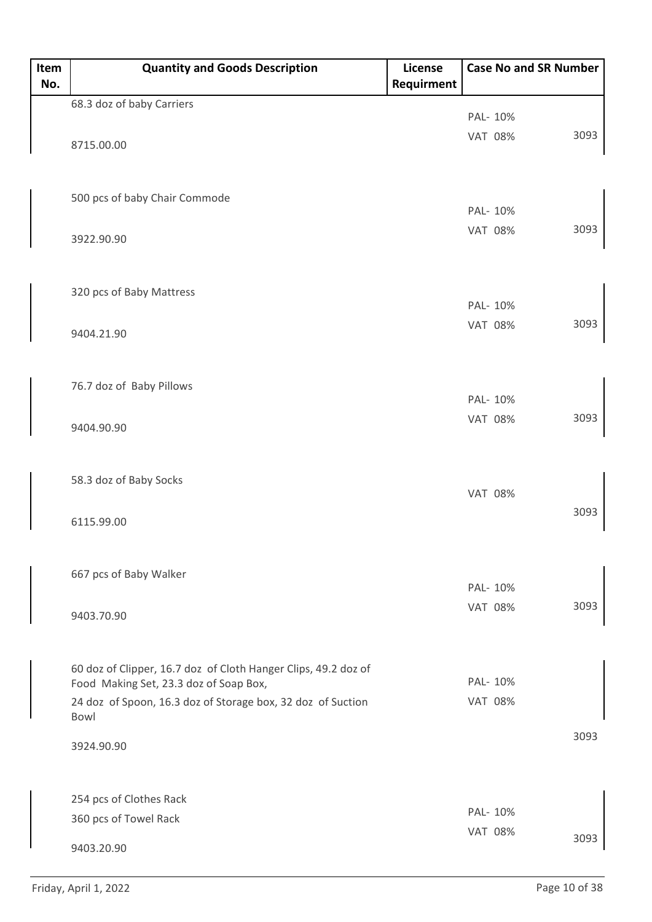| Item<br>No. | <b>Quantity and Goods Description</b>                                                                    | License<br>Requirment | <b>Case No and SR Number</b> |      |
|-------------|----------------------------------------------------------------------------------------------------------|-----------------------|------------------------------|------|
|             | 68.3 doz of baby Carriers                                                                                |                       |                              |      |
|             |                                                                                                          |                       | PAL- 10%                     |      |
|             | 8715.00.00                                                                                               |                       | <b>VAT 08%</b>               | 3093 |
|             |                                                                                                          |                       |                              |      |
|             |                                                                                                          |                       |                              |      |
|             | 500 pcs of baby Chair Commode                                                                            |                       | PAL- 10%                     |      |
|             | 3922.90.90                                                                                               |                       | <b>VAT 08%</b>               | 3093 |
|             |                                                                                                          |                       |                              |      |
|             |                                                                                                          |                       |                              |      |
|             | 320 pcs of Baby Mattress                                                                                 |                       | PAL- 10%                     |      |
|             |                                                                                                          |                       | <b>VAT 08%</b>               | 3093 |
|             | 9404.21.90                                                                                               |                       |                              |      |
|             |                                                                                                          |                       |                              |      |
|             | 76.7 doz of Baby Pillows                                                                                 |                       |                              |      |
|             |                                                                                                          |                       | PAL- 10%                     |      |
|             | 9404.90.90                                                                                               |                       | <b>VAT 08%</b>               | 3093 |
|             |                                                                                                          |                       |                              |      |
|             | 58.3 doz of Baby Socks                                                                                   |                       |                              |      |
|             |                                                                                                          |                       | <b>VAT 08%</b>               |      |
|             | 6115.99.00                                                                                               |                       |                              | 3093 |
|             |                                                                                                          |                       |                              |      |
|             |                                                                                                          |                       |                              |      |
|             | 667 pcs of Baby Walker                                                                                   |                       | PAL- 10%                     |      |
|             | 9403.70.90                                                                                               |                       | <b>VAT 08%</b>               | 3093 |
|             |                                                                                                          |                       |                              |      |
|             |                                                                                                          |                       |                              |      |
|             | 60 doz of Clipper, 16.7 doz of Cloth Hanger Clips, 49.2 doz of<br>Food Making Set, 23.3 doz of Soap Box, |                       | PAL- 10%                     |      |
|             | 24 doz of Spoon, 16.3 doz of Storage box, 32 doz of Suction                                              |                       | <b>VAT 08%</b>               |      |
|             | Bowl                                                                                                     |                       |                              |      |
|             | 3924.90.90                                                                                               |                       |                              | 3093 |
|             |                                                                                                          |                       |                              |      |
|             | 254 pcs of Clothes Rack                                                                                  |                       |                              |      |
|             | 360 pcs of Towel Rack                                                                                    |                       | PAL- 10%                     |      |
|             |                                                                                                          |                       | <b>VAT 08%</b>               | 3093 |
|             | 9403.20.90                                                                                               |                       |                              |      |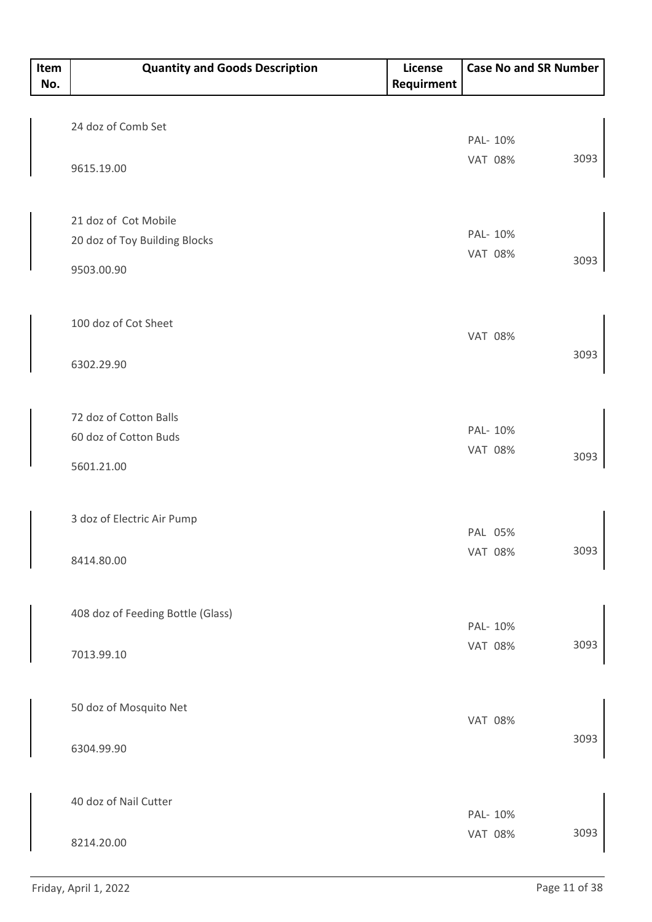| Item<br>No. | <b>Quantity and Goods Description</b> | License<br>Requirment |                | <b>Case No and SR Number</b> |
|-------------|---------------------------------------|-----------------------|----------------|------------------------------|
|             |                                       |                       |                |                              |
|             | 24 doz of Comb Set                    |                       | PAL- 10%       |                              |
|             |                                       |                       | <b>VAT 08%</b> | 3093                         |
|             | 9615.19.00                            |                       |                |                              |
|             | 21 doz of Cot Mobile                  |                       | PAL- 10%       |                              |
|             | 20 doz of Toy Building Blocks         |                       | <b>VAT 08%</b> |                              |
|             | 9503.00.90                            |                       |                | 3093                         |
|             | 100 doz of Cot Sheet                  |                       | <b>VAT 08%</b> |                              |
|             | 6302.29.90                            |                       |                | 3093                         |
|             | 72 doz of Cotton Balls                |                       |                |                              |
|             | 60 doz of Cotton Buds                 |                       | PAL- 10%       |                              |
|             | 5601.21.00                            |                       | <b>VAT 08%</b> | 3093                         |
|             | 3 doz of Electric Air Pump            |                       | PAL 05%        |                              |
|             | 8414.80.00                            |                       | <b>VAT 08%</b> | 3093                         |
|             | 408 doz of Feeding Bottle (Glass)     |                       | PAL-10%        |                              |
|             | 7013.99.10                            |                       | <b>VAT 08%</b> | 3093                         |
|             | 50 doz of Mosquito Net                |                       | <b>VAT 08%</b> |                              |
|             | 6304.99.90                            |                       |                | 3093                         |
|             | 40 doz of Nail Cutter                 |                       | PAL- 10%       |                              |
|             |                                       |                       | <b>VAT 08%</b> | 3093                         |
|             | 8214.20.00                            |                       |                |                              |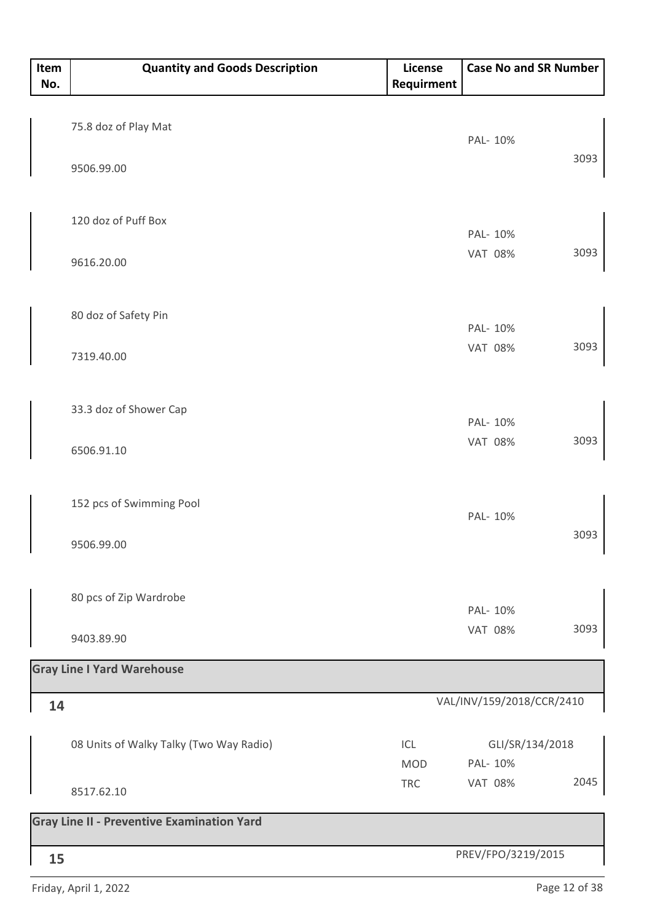| Item<br>No. | <b>Quantity and Goods Description</b>             | License<br>Requirment | <b>Case No and SR Number</b> |      |
|-------------|---------------------------------------------------|-----------------------|------------------------------|------|
|             |                                                   |                       |                              |      |
|             | 75.8 doz of Play Mat                              |                       | PAL- 10%                     |      |
|             | 9506.99.00                                        |                       |                              | 3093 |
|             |                                                   |                       |                              |      |
|             | 120 doz of Puff Box                               |                       | PAL- 10%                     |      |
|             | 9616.20.00                                        |                       | <b>VAT 08%</b>               | 3093 |
|             |                                                   |                       |                              |      |
|             | 80 doz of Safety Pin                              |                       |                              |      |
|             |                                                   |                       | PAL- 10%                     | 3093 |
|             | 7319.40.00                                        |                       | <b>VAT 08%</b>               |      |
|             |                                                   |                       |                              |      |
|             | 33.3 doz of Shower Cap                            |                       | PAL- 10%                     |      |
|             | 6506.91.10                                        |                       | <b>VAT 08%</b>               | 3093 |
|             |                                                   |                       |                              |      |
|             | 152 pcs of Swimming Pool                          |                       | PAL- 10%                     |      |
|             | 9506.99.00                                        |                       |                              | 3093 |
|             |                                                   |                       |                              |      |
|             | 80 pcs of Zip Wardrobe                            |                       | PAL- 10%                     |      |
|             |                                                   |                       | <b>VAT 08%</b>               | 3093 |
|             | 9403.89.90                                        |                       |                              |      |
|             | <b>Gray Line I Yard Warehouse</b>                 |                       |                              |      |
| 14          |                                                   |                       | VAL/INV/159/2018/CCR/2410    |      |
|             | 08 Units of Walky Talky (Two Way Radio)           | ICL                   | GLI/SR/134/2018              |      |
|             |                                                   | <b>MOD</b>            | PAL- 10%                     |      |
|             | 8517.62.10                                        | <b>TRC</b>            | <b>VAT 08%</b>               | 2045 |
|             | <b>Gray Line II - Preventive Examination Yard</b> |                       |                              |      |
| 15          |                                                   |                       | PREV/FPO/3219/2015           |      |

Friday, April 1, 2022 **Page 12 of 38**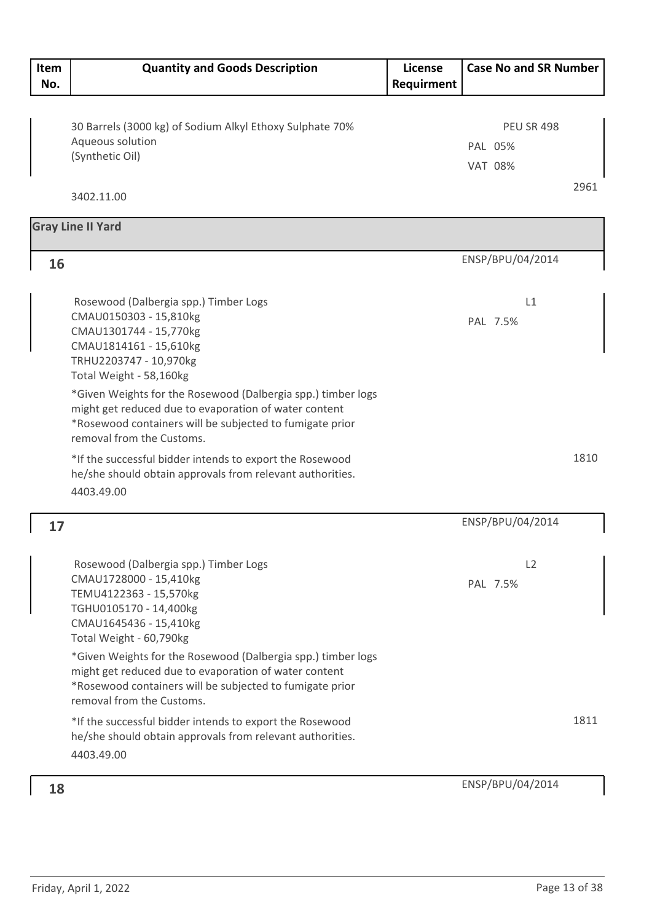| Item<br>No. | <b>Quantity and Goods Description</b>                                                                                                                                                                                                                                                                                                                                                                                                                  | License<br>Requirment | <b>Case No and SR Number</b>                   |      |
|-------------|--------------------------------------------------------------------------------------------------------------------------------------------------------------------------------------------------------------------------------------------------------------------------------------------------------------------------------------------------------------------------------------------------------------------------------------------------------|-----------------------|------------------------------------------------|------|
|             | 30 Barrels (3000 kg) of Sodium Alkyl Ethoxy Sulphate 70%<br>Aqueous solution<br>(Synthetic Oil)                                                                                                                                                                                                                                                                                                                                                        |                       | <b>PEU SR 498</b><br>PAL 05%<br><b>VAT 08%</b> |      |
|             | 3402.11.00                                                                                                                                                                                                                                                                                                                                                                                                                                             |                       |                                                | 2961 |
|             | <b>Gray Line II Yard</b>                                                                                                                                                                                                                                                                                                                                                                                                                               |                       |                                                |      |
| 16          |                                                                                                                                                                                                                                                                                                                                                                                                                                                        |                       | ENSP/BPU/04/2014                               |      |
|             | Rosewood (Dalbergia spp.) Timber Logs<br>CMAU0150303 - 15,810kg<br>CMAU1301744 - 15,770kg<br>CMAU1814161 - 15,610kg<br>TRHU2203747 - 10,970kg<br>Total Weight - 58,160kg                                                                                                                                                                                                                                                                               |                       | L1<br>PAL 7.5%                                 |      |
|             | *Given Weights for the Rosewood (Dalbergia spp.) timber logs<br>might get reduced due to evaporation of water content<br>*Rosewood containers will be subjected to fumigate prior<br>removal from the Customs.                                                                                                                                                                                                                                         |                       |                                                |      |
|             | *If the successful bidder intends to export the Rosewood<br>he/she should obtain approvals from relevant authorities.<br>4403.49.00                                                                                                                                                                                                                                                                                                                    |                       |                                                | 1810 |
| 17          |                                                                                                                                                                                                                                                                                                                                                                                                                                                        |                       | ENSP/BPU/04/2014                               |      |
|             | Rosewood (Dalbergia spp.) Timber Logs<br>CMAU1728000 - 15,410kg<br>TEMU4122363 - 15,570kg<br>TGHU0105170 - 14,400kg<br>CMAU1645436 - 15,410kg<br>Total Weight - 60,790kg<br>*Given Weights for the Rosewood (Dalbergia spp.) timber logs<br>might get reduced due to evaporation of water content<br>*Rosewood containers will be subjected to fumigate prior<br>removal from the Customs.<br>*If the successful bidder intends to export the Rosewood |                       | L2<br>PAL 7.5%                                 | 1811 |
|             | he/she should obtain approvals from relevant authorities.<br>4403.49.00                                                                                                                                                                                                                                                                                                                                                                                |                       |                                                |      |
| 18          |                                                                                                                                                                                                                                                                                                                                                                                                                                                        |                       | ENSP/BPU/04/2014                               |      |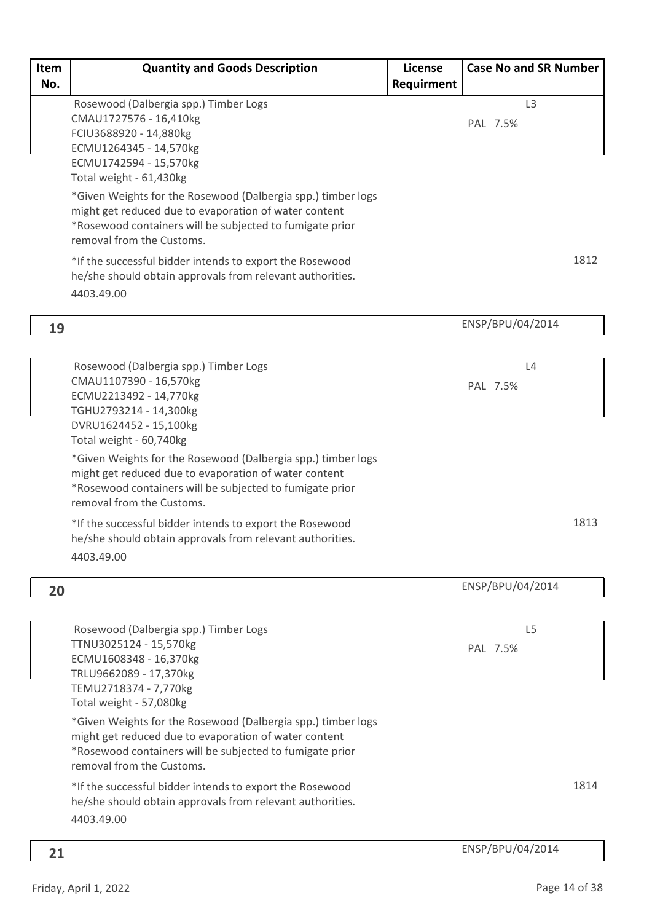| Item | <b>Quantity and Goods Description</b>                                                                                                                                                                                                                                                                                                                                                                                                                  | License    | <b>Case No and SR Number</b> |      |
|------|--------------------------------------------------------------------------------------------------------------------------------------------------------------------------------------------------------------------------------------------------------------------------------------------------------------------------------------------------------------------------------------------------------------------------------------------------------|------------|------------------------------|------|
| No.  | Rosewood (Dalbergia spp.) Timber Logs<br>CMAU1727576 - 16,410kg<br>FCIU3688920 - 14,880kg<br>ECMU1264345 - 14,570kg<br>ECMU1742594 - 15,570kg<br>Total weight - 61,430kg<br>*Given Weights for the Rosewood (Dalbergia spp.) timber logs<br>might get reduced due to evaporation of water content<br>*Rosewood containers will be subjected to fumigate prior<br>removal from the Customs.<br>*If the successful bidder intends to export the Rosewood | Requirment | L <sub>3</sub><br>PAL 7.5%   | 1812 |
|      | he/she should obtain approvals from relevant authorities.<br>4403.49.00                                                                                                                                                                                                                                                                                                                                                                                |            |                              |      |
| 19   |                                                                                                                                                                                                                                                                                                                                                                                                                                                        |            | ENSP/BPU/04/2014             |      |
|      | Rosewood (Dalbergia spp.) Timber Logs<br>CMAU1107390 - 16,570kg<br>ECMU2213492 - 14,770kg<br>TGHU2793214 - 14,300kg<br>DVRU1624452 - 15,100kg<br>Total weight - 60,740kg                                                                                                                                                                                                                                                                               |            | L4<br>PAL 7.5%               |      |
|      | *Given Weights for the Rosewood (Dalbergia spp.) timber logs<br>might get reduced due to evaporation of water content<br>*Rosewood containers will be subjected to fumigate prior<br>removal from the Customs.                                                                                                                                                                                                                                         |            |                              |      |
|      | *If the successful bidder intends to export the Rosewood<br>he/she should obtain approvals from relevant authorities.<br>4403.49.00                                                                                                                                                                                                                                                                                                                    |            |                              | 1813 |
| 20   |                                                                                                                                                                                                                                                                                                                                                                                                                                                        |            | ENSP/BPU/04/2014             |      |
|      | Rosewood (Dalbergia spp.) Timber Logs<br>TTNU3025124 - 15,570kg<br>ECMU1608348 - 16,370kg<br>TRLU9662089 - 17,370kg<br>TEMU2718374 - 7,770kg<br>Total weight - 57,080kg                                                                                                                                                                                                                                                                                |            | L <sub>5</sub><br>PAL 7.5%   |      |
|      | *Given Weights for the Rosewood (Dalbergia spp.) timber logs<br>might get reduced due to evaporation of water content<br>*Rosewood containers will be subjected to fumigate prior<br>removal from the Customs.                                                                                                                                                                                                                                         |            |                              |      |
|      | *If the successful bidder intends to export the Rosewood<br>he/she should obtain approvals from relevant authorities.<br>4403.49.00                                                                                                                                                                                                                                                                                                                    |            |                              | 1814 |
| 21   |                                                                                                                                                                                                                                                                                                                                                                                                                                                        |            | ENSP/BPU/04/2014             |      |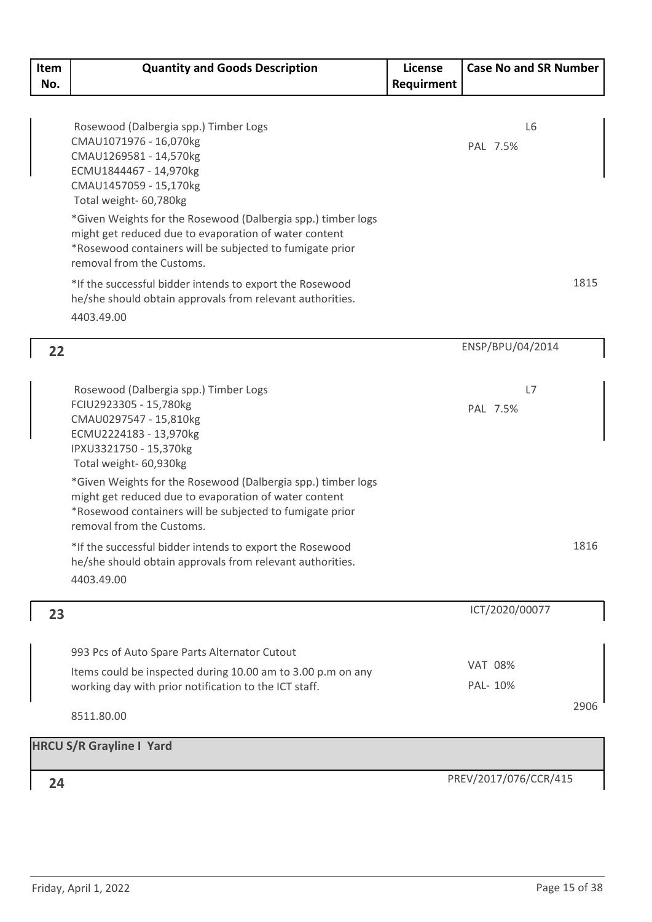| Item<br>No. | <b>Quantity and Goods Description</b>                                                                                                                                                                          | License<br>Requirment | <b>Case No and SR Number</b> |
|-------------|----------------------------------------------------------------------------------------------------------------------------------------------------------------------------------------------------------------|-----------------------|------------------------------|
|             |                                                                                                                                                                                                                |                       |                              |
|             | Rosewood (Dalbergia spp.) Timber Logs<br>CMAU1071976 - 16,070kg<br>CMAU1269581 - 14,570kg<br>ECMU1844467 - 14,970kg<br>CMAU1457059 - 15,170kg<br>Total weight- 60,780kg                                        |                       | L <sub>6</sub><br>PAL 7.5%   |
|             | *Given Weights for the Rosewood (Dalbergia spp.) timber logs<br>might get reduced due to evaporation of water content<br>*Rosewood containers will be subjected to fumigate prior<br>removal from the Customs. |                       |                              |
|             | *If the successful bidder intends to export the Rosewood<br>he/she should obtain approvals from relevant authorities.<br>4403.49.00                                                                            |                       | 1815                         |
| 22          |                                                                                                                                                                                                                |                       | ENSP/BPU/04/2014             |
|             | Rosewood (Dalbergia spp.) Timber Logs<br>FCIU2923305 - 15,780kg<br>CMAU0297547 - 15,810kg                                                                                                                      |                       | L7<br>PAL 7.5%               |
|             | ECMU2224183 - 13,970kg<br>IPXU3321750 - 15,370kg<br>Total weight- 60,930kg                                                                                                                                     |                       |                              |
|             | *Given Weights for the Rosewood (Dalbergia spp.) timber logs<br>might get reduced due to evaporation of water content<br>*Rosewood containers will be subjected to fumigate prior<br>removal from the Customs. |                       |                              |
|             | *If the successful bidder intends to export the Rosewood<br>he/she should obtain approvals from relevant authorities.<br>4403.49.00                                                                            |                       | 1816                         |
| 23          |                                                                                                                                                                                                                |                       | ICT/2020/00077               |
|             | 993 Pcs of Auto Spare Parts Alternator Cutout                                                                                                                                                                  |                       |                              |
|             | Items could be inspected during 10.00 am to 3.00 p.m on any                                                                                                                                                    |                       | <b>VAT 08%</b>               |
|             | working day with prior notification to the ICT staff.                                                                                                                                                          |                       | PAL- 10%                     |
|             | 8511.80.00                                                                                                                                                                                                     |                       | 2906                         |
|             | <b>HRCU S/R Grayline I Yard</b>                                                                                                                                                                                |                       |                              |
| 24          |                                                                                                                                                                                                                |                       | PREV/2017/076/CCR/415        |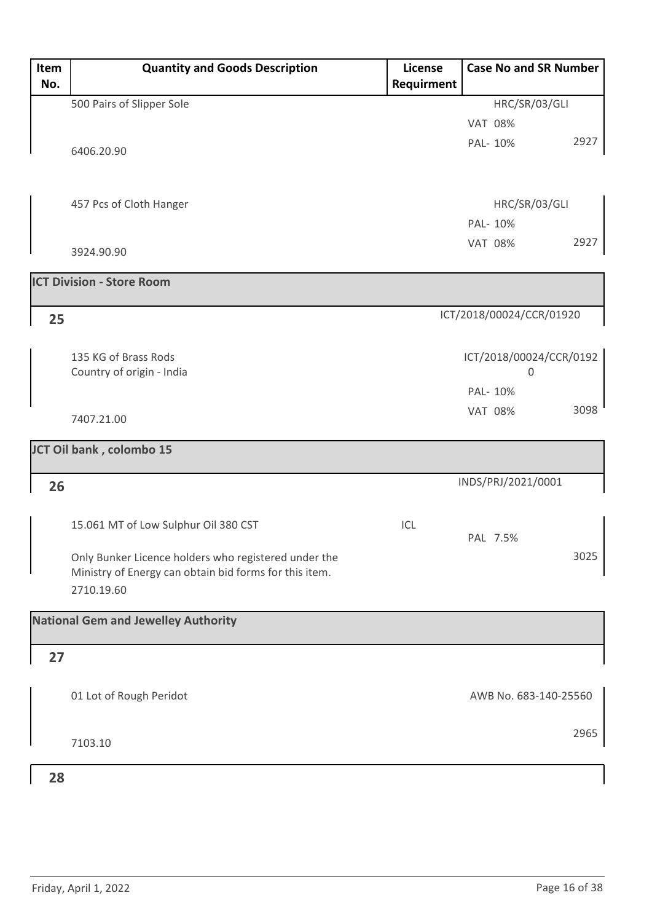| Item<br>No. | <b>Quantity and Goods Description</b>                                                                          | <b>License</b><br>Requirment | <b>Case No and SR Number</b> |      |
|-------------|----------------------------------------------------------------------------------------------------------------|------------------------------|------------------------------|------|
|             | 500 Pairs of Slipper Sole                                                                                      |                              | HRC/SR/03/GLI                |      |
|             |                                                                                                                |                              | <b>VAT 08%</b>               |      |
|             | 6406.20.90                                                                                                     |                              | PAL- 10%                     | 2927 |
|             |                                                                                                                |                              |                              |      |
|             | 457 Pcs of Cloth Hanger                                                                                        |                              | HRC/SR/03/GLI                |      |
|             |                                                                                                                |                              | PAL- 10%                     |      |
|             | 3924.90.90                                                                                                     |                              | <b>VAT 08%</b>               | 2927 |
|             | <b>ICT Division - Store Room</b>                                                                               |                              |                              |      |
| 25          |                                                                                                                |                              | ICT/2018/00024/CCR/01920     |      |
|             | 135 KG of Brass Rods                                                                                           |                              | ICT/2018/00024/CCR/0192      |      |
|             | Country of origin - India                                                                                      |                              | $\mathbf 0$                  |      |
|             |                                                                                                                |                              | PAL- 10%                     |      |
|             | 7407.21.00                                                                                                     |                              | <b>VAT 08%</b>               | 3098 |
|             | JCT Oil bank, colombo 15                                                                                       |                              |                              |      |
| 26          |                                                                                                                |                              | INDS/PRJ/2021/0001           |      |
|             | 15.061 MT of Low Sulphur Oil 380 CST                                                                           | ICL                          | PAL 7.5%                     |      |
|             | Only Bunker Licence holders who registered under the<br>Ministry of Energy can obtain bid forms for this item. |                              |                              | 3025 |
|             | 2710.19.60                                                                                                     |                              |                              |      |
|             | <b>National Gem and Jewelley Authority</b>                                                                     |                              |                              |      |
| 27          |                                                                                                                |                              |                              |      |
|             | 01 Lot of Rough Peridot                                                                                        |                              | AWB No. 683-140-25560        |      |
|             | 7103.10                                                                                                        |                              |                              | 2965 |
| 28          |                                                                                                                |                              |                              |      |

#### **28**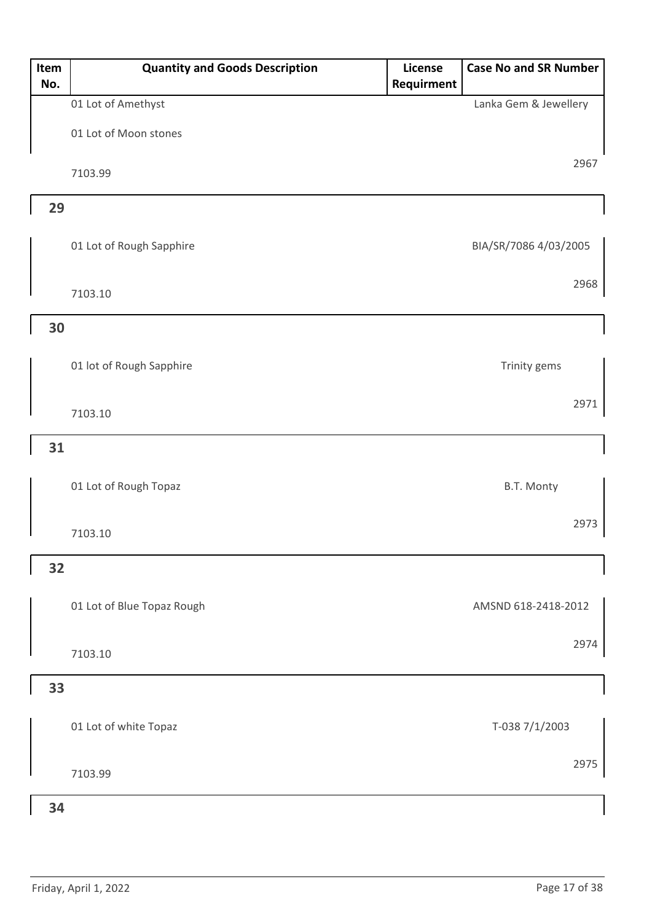| Item<br>No. | <b>Quantity and Goods Description</b> | License<br><b>Requirment</b> | <b>Case No and SR Number</b> |
|-------------|---------------------------------------|------------------------------|------------------------------|
|             | 01 Lot of Amethyst                    |                              | Lanka Gem & Jewellery        |
|             | 01 Lot of Moon stones                 |                              |                              |
|             | 7103.99                               |                              | 2967                         |
| 29          |                                       |                              |                              |
|             | 01 Lot of Rough Sapphire              |                              | BIA/SR/7086 4/03/2005        |
|             | 7103.10                               |                              | 2968                         |
| 30          |                                       |                              |                              |
|             | 01 lot of Rough Sapphire              |                              | Trinity gems                 |
|             | 7103.10                               |                              | 2971                         |
| 31          |                                       |                              |                              |
|             | 01 Lot of Rough Topaz                 |                              | B.T. Monty                   |
|             | 7103.10                               |                              | 2973                         |
| 32          |                                       |                              |                              |
|             | 01 Lot of Blue Topaz Rough            |                              | AMSND 618-2418-2012          |
|             | 7103.10                               |                              | 2974                         |
| 33          |                                       |                              |                              |
|             | 01 Lot of white Topaz                 |                              | T-038 7/1/2003               |
|             | 7103.99                               |                              | 2975                         |
| 34          |                                       |                              |                              |

#### Friday, April 1, 2022 **Page 17 of 38**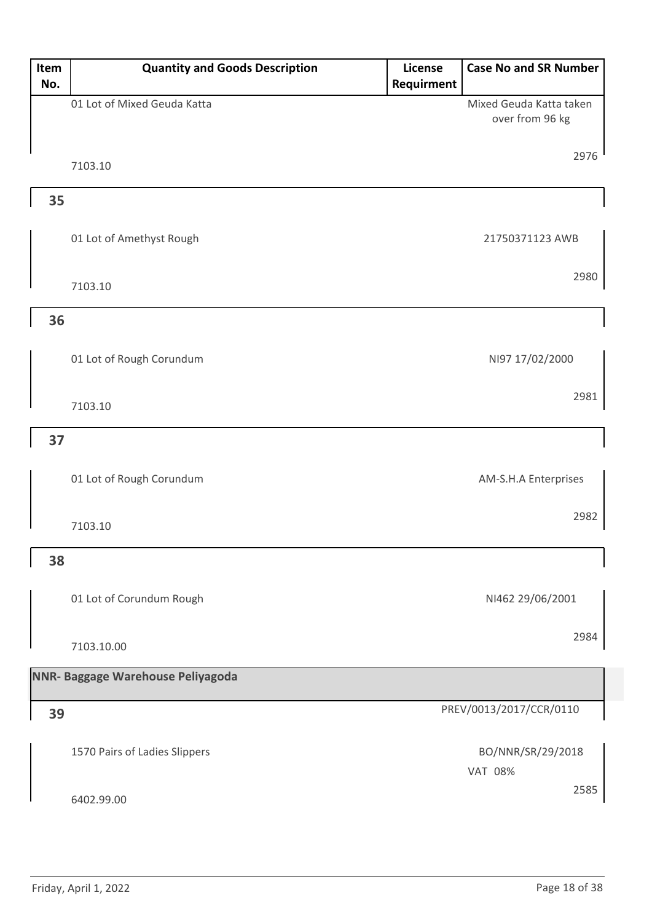| Item | <b>Quantity and Goods Description</b> | License    | <b>Case No and SR Number</b>               |
|------|---------------------------------------|------------|--------------------------------------------|
| No.  |                                       | Requirment |                                            |
|      | 01 Lot of Mixed Geuda Katta           |            | Mixed Geuda Katta taken<br>over from 96 kg |
|      |                                       |            |                                            |
|      |                                       |            | 2976                                       |
|      | 7103.10                               |            |                                            |
| 35   |                                       |            |                                            |
|      |                                       |            |                                            |
|      | 01 Lot of Amethyst Rough              |            | 21750371123 AWB                            |
|      |                                       |            |                                            |
|      | 7103.10                               |            | 2980                                       |
|      |                                       |            |                                            |
| 36   |                                       |            |                                            |
|      |                                       |            |                                            |
|      | 01 Lot of Rough Corundum              |            | NI97 17/02/2000                            |
|      |                                       |            | 2981                                       |
|      | 7103.10                               |            |                                            |
| 37   |                                       |            |                                            |
|      |                                       |            |                                            |
|      | 01 Lot of Rough Corundum              |            | AM-S.H.A Enterprises                       |
|      |                                       |            |                                            |
|      | 7103.10                               |            | 2982                                       |
|      |                                       |            |                                            |
| 38   |                                       |            |                                            |
|      |                                       |            |                                            |
|      | 01 Lot of Corundum Rough              |            | NI462 29/06/2001                           |
|      |                                       |            |                                            |
|      | 7103.10.00                            |            | 2984                                       |
|      | NNR- Baggage Warehouse Peliyagoda     |            |                                            |
|      |                                       |            |                                            |
| 39   |                                       |            | PREV/0013/2017/CCR/0110                    |
|      |                                       |            |                                            |
|      | 1570 Pairs of Ladies Slippers         |            | BO/NNR/SR/29/2018                          |
|      |                                       |            | <b>VAT 08%</b>                             |
|      | 6402.99.00                            |            | 2585                                       |
|      |                                       |            |                                            |
|      |                                       |            |                                            |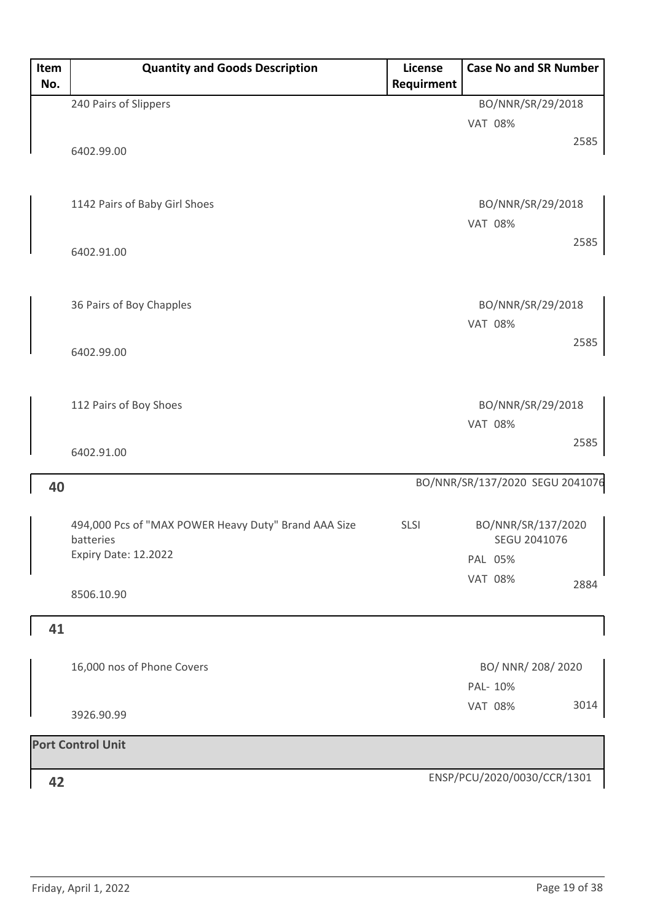| Item<br>No. | <b>Quantity and Goods Description</b>                | License<br>Requirment | <b>Case No and SR Number</b>    |
|-------------|------------------------------------------------------|-----------------------|---------------------------------|
|             | 240 Pairs of Slippers                                |                       | BO/NNR/SR/29/2018               |
|             |                                                      |                       | <b>VAT 08%</b>                  |
|             |                                                      |                       | 2585                            |
|             | 6402.99.00                                           |                       |                                 |
|             |                                                      |                       |                                 |
|             | 1142 Pairs of Baby Girl Shoes                        |                       | BO/NNR/SR/29/2018               |
|             |                                                      |                       | <b>VAT 08%</b>                  |
|             | 6402.91.00                                           |                       | 2585                            |
|             |                                                      |                       |                                 |
|             | 36 Pairs of Boy Chapples                             |                       | BO/NNR/SR/29/2018               |
|             |                                                      |                       | <b>VAT 08%</b>                  |
|             | 6402.99.00                                           |                       | 2585                            |
|             |                                                      |                       |                                 |
|             | 112 Pairs of Boy Shoes                               |                       | BO/NNR/SR/29/2018               |
|             |                                                      |                       | <b>VAT 08%</b>                  |
|             | 6402.91.00                                           |                       | 2585                            |
| 40          |                                                      |                       | BO/NNR/SR/137/2020 SEGU 2041076 |
|             |                                                      |                       |                                 |
|             | 494,000 Pcs of "MAX POWER Heavy Duty" Brand AAA Size | <b>SLSI</b>           | BO/NNR/SR/137/2020              |
|             | batteries<br>Expiry Date: 12.2022                    |                       | SEGU 2041076                    |
|             |                                                      |                       | PAL 05%                         |
|             | 8506.10.90                                           |                       | <b>VAT 08%</b><br>2884          |
| 41          |                                                      |                       |                                 |
|             |                                                      |                       |                                 |
|             | 16,000 nos of Phone Covers                           |                       | BO/ NNR/ 208/ 2020              |
|             |                                                      |                       | PAL- 10%                        |
|             | 3926.90.99                                           |                       | 3014<br><b>VAT 08%</b>          |
|             | <b>Port Control Unit</b>                             |                       |                                 |
|             |                                                      |                       |                                 |
| 42          |                                                      |                       | ENSP/PCU/2020/0030/CCR/1301     |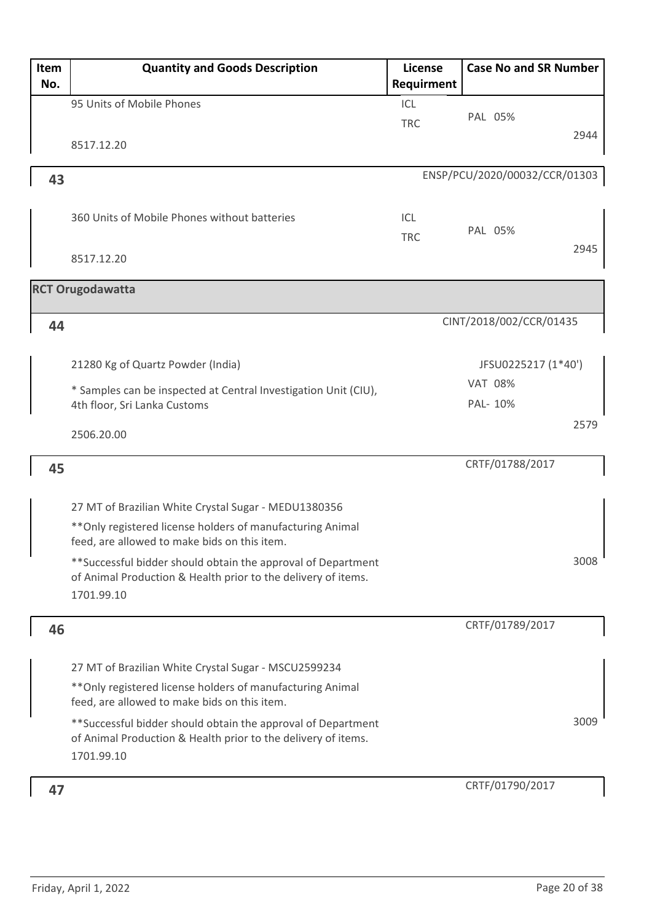| Item<br>No. | <b>Quantity and Goods Description</b>                                                                                                                              | License<br>Requirment | <b>Case No and SR Number</b>  |
|-------------|--------------------------------------------------------------------------------------------------------------------------------------------------------------------|-----------------------|-------------------------------|
|             | 95 Units of Mobile Phones                                                                                                                                          | ICL<br><b>TRC</b>     | PAL 05%                       |
|             | 8517.12.20                                                                                                                                                         |                       | 2944                          |
| 43          |                                                                                                                                                                    |                       | ENSP/PCU/2020/00032/CCR/01303 |
|             | 360 Units of Mobile Phones without batteries                                                                                                                       | ICL<br><b>TRC</b>     | PAL 05%                       |
|             | 8517.12.20                                                                                                                                                         |                       | 2945                          |
|             | <b>RCT Orugodawatta</b>                                                                                                                                            |                       |                               |
| 44          |                                                                                                                                                                    |                       | CINT/2018/002/CCR/01435       |
|             | 21280 Kg of Quartz Powder (India)                                                                                                                                  |                       | JFSU0225217 (1*40')           |
|             | * Samples can be inspected at Central Investigation Unit (CIU),<br>4th floor, Sri Lanka Customs                                                                    |                       | <b>VAT 08%</b><br>PAL- 10%    |
|             | 2506.20.00                                                                                                                                                         |                       | 2579                          |
| 45          |                                                                                                                                                                    |                       | CRTF/01788/2017               |
|             | 27 MT of Brazilian White Crystal Sugar - MEDU1380356                                                                                                               |                       |                               |
|             | ** Only registered license holders of manufacturing Animal<br>feed, are allowed to make bids on this item.                                                         |                       |                               |
|             | ** Successful bidder should obtain the approval of Department<br>of Animal Production & Health prior to the delivery of items.<br>1701.99.10                       |                       | 3008                          |
| 46          |                                                                                                                                                                    |                       | CRTF/01789/2017               |
|             | 27 MT of Brazilian White Crystal Sugar - MSCU2599234<br>** Only registered license holders of manufacturing Animal<br>feed, are allowed to make bids on this item. |                       |                               |
|             | **Successful bidder should obtain the approval of Department<br>of Animal Production & Health prior to the delivery of items.<br>1701.99.10                        |                       | 3009                          |
| 47          |                                                                                                                                                                    |                       | CRTF/01790/2017               |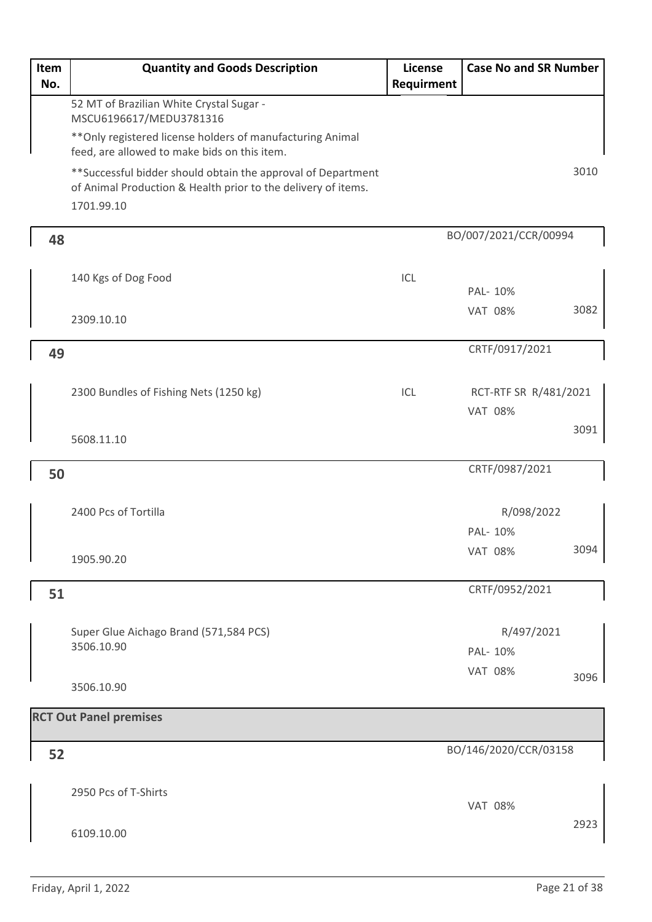| Item<br>No. | <b>Quantity and Goods Description</b>                                                                                                        | <b>License</b><br>Requirment | <b>Case No and SR Number</b>            |      |
|-------------|----------------------------------------------------------------------------------------------------------------------------------------------|------------------------------|-----------------------------------------|------|
|             | 52 MT of Brazilian White Crystal Sugar -                                                                                                     |                              |                                         |      |
|             | MSCU6196617/MEDU3781316<br>** Only registered license holders of manufacturing Animal                                                        |                              |                                         |      |
|             | feed, are allowed to make bids on this item.                                                                                                 |                              |                                         |      |
|             | ** Successful bidder should obtain the approval of Department<br>of Animal Production & Health prior to the delivery of items.<br>1701.99.10 |                              |                                         | 3010 |
| 48          |                                                                                                                                              |                              | BO/007/2021/CCR/00994                   |      |
|             | 140 Kgs of Dog Food                                                                                                                          | ICL                          | PAL- 10%                                |      |
|             | 2309.10.10                                                                                                                                   |                              | <b>VAT 08%</b>                          | 3082 |
| 49          |                                                                                                                                              |                              | CRTF/0917/2021                          |      |
|             |                                                                                                                                              |                              |                                         |      |
|             | 2300 Bundles of Fishing Nets (1250 kg)                                                                                                       | ICL                          | RCT-RTF SR R/481/2021<br><b>VAT 08%</b> |      |
|             | 5608.11.10                                                                                                                                   |                              |                                         | 3091 |
| 50          |                                                                                                                                              |                              | CRTF/0987/2021                          |      |
|             |                                                                                                                                              |                              |                                         |      |
|             | 2400 Pcs of Tortilla                                                                                                                         |                              | R/098/2022<br>PAL- 10%                  |      |
|             | 1905.90.20                                                                                                                                   |                              | <b>VAT 08%</b>                          | 3094 |
| 51          |                                                                                                                                              |                              | CRTF/0952/2021                          |      |
|             |                                                                                                                                              |                              |                                         |      |
|             | Super Glue Aichago Brand (571,584 PCS)<br>3506.10.90                                                                                         |                              | R/497/2021<br>PAL- 10%                  |      |
|             |                                                                                                                                              |                              | <b>VAT 08%</b>                          |      |
|             | 3506.10.90                                                                                                                                   |                              |                                         | 3096 |
|             | <b>RCT Out Panel premises</b>                                                                                                                |                              |                                         |      |
| 52          |                                                                                                                                              |                              | BO/146/2020/CCR/03158                   |      |
|             | 2950 Pcs of T-Shirts                                                                                                                         |                              | <b>VAT 08%</b>                          |      |
|             | 6109.10.00                                                                                                                                   |                              |                                         | 2923 |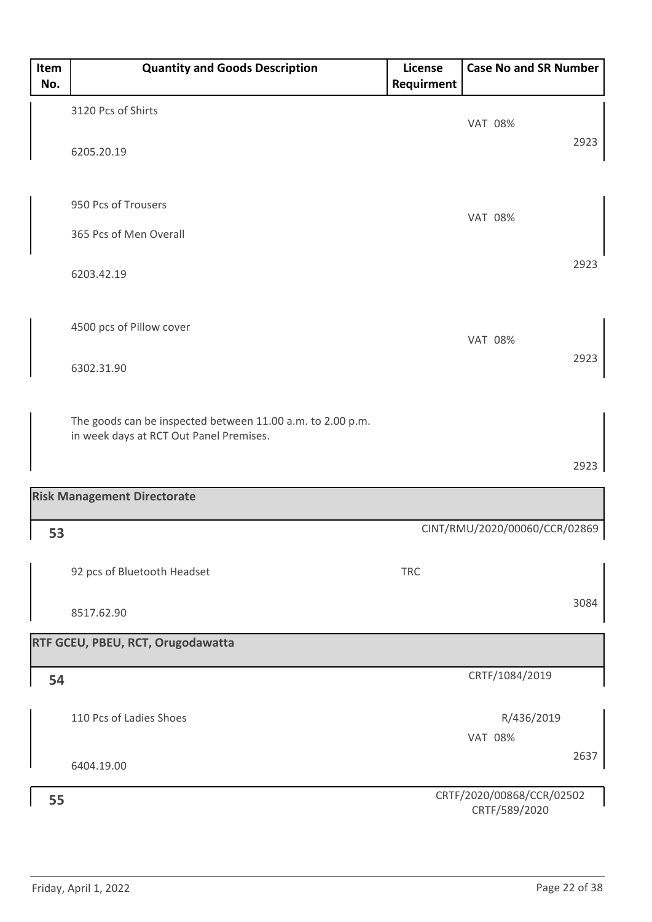| Item<br>No. | <b>Quantity and Goods Description</b>                                                                 | License<br>Requirment | <b>Case No and SR Number</b>               |      |
|-------------|-------------------------------------------------------------------------------------------------------|-----------------------|--------------------------------------------|------|
|             | 3120 Pcs of Shirts                                                                                    |                       | <b>VAT 08%</b>                             |      |
|             | 6205.20.19                                                                                            |                       |                                            | 2923 |
|             | 950 Pcs of Trousers                                                                                   |                       |                                            |      |
|             | 365 Pcs of Men Overall                                                                                |                       | <b>VAT 08%</b>                             |      |
|             | 6203.42.19                                                                                            |                       |                                            | 2923 |
|             | 4500 pcs of Pillow cover                                                                              |                       | <b>VAT 08%</b>                             |      |
|             | 6302.31.90                                                                                            |                       |                                            | 2923 |
|             | The goods can be inspected between 11.00 a.m. to 2.00 p.m.<br>in week days at RCT Out Panel Premises. |                       |                                            |      |
|             |                                                                                                       |                       |                                            | 2923 |
|             | <b>Risk Management Directorate</b>                                                                    |                       |                                            |      |
| 53          |                                                                                                       |                       | CINT/RMU/2020/00060/CCR/02869              |      |
|             | 92 pcs of Bluetooth Headset                                                                           | <b>TRC</b>            |                                            |      |
|             | 8517.62.90                                                                                            |                       |                                            | 3084 |
|             | RTF GCEU, PBEU, RCT, Orugodawatta                                                                     |                       |                                            |      |
| 54          |                                                                                                       |                       | CRTF/1084/2019                             |      |
|             | 110 Pcs of Ladies Shoes                                                                               |                       | R/436/2019<br><b>VAT 08%</b>               |      |
|             | 6404.19.00                                                                                            |                       |                                            | 2637 |
| 55          |                                                                                                       |                       | CRTF/2020/00868/CCR/02502<br>CRTF/589/2020 |      |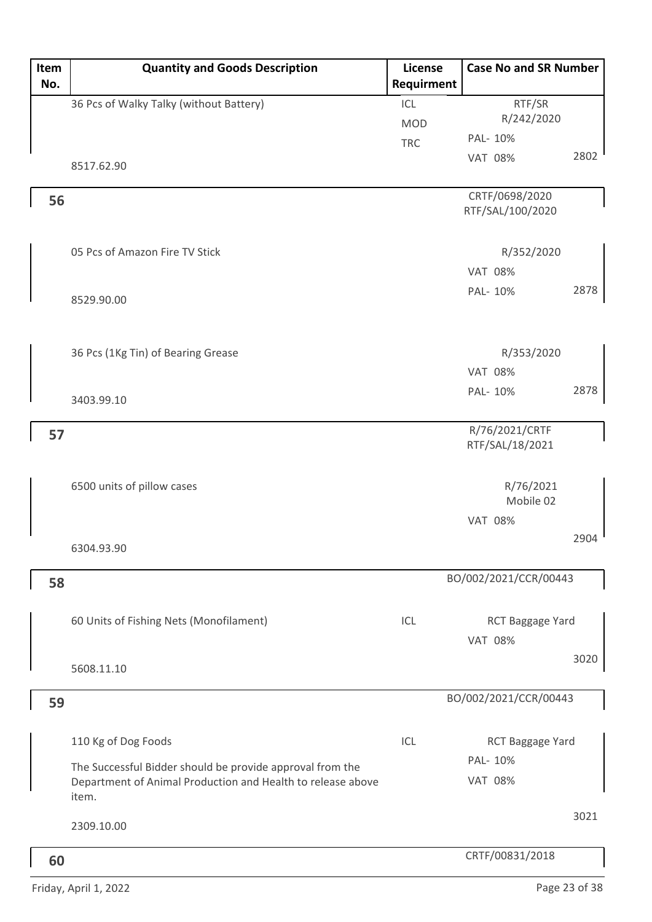| Item | <b>Quantity and Goods Description</b>                                                                                             | License    | <b>Case No and SR Number</b> |      |
|------|-----------------------------------------------------------------------------------------------------------------------------------|------------|------------------------------|------|
| No.  |                                                                                                                                   | Requirment |                              |      |
|      | 36 Pcs of Walky Talky (without Battery)                                                                                           | ICL        | RTF/SR                       |      |
|      |                                                                                                                                   | <b>MOD</b> | R/242/2020                   |      |
|      |                                                                                                                                   | <b>TRC</b> | PAL- 10%                     |      |
|      | 8517.62.90                                                                                                                        |            | <b>VAT 08%</b>               | 2802 |
| 56   |                                                                                                                                   |            | CRTF/0698/2020               |      |
|      |                                                                                                                                   |            | RTF/SAL/100/2020             |      |
|      | 05 Pcs of Amazon Fire TV Stick                                                                                                    |            | R/352/2020                   |      |
|      |                                                                                                                                   |            | <b>VAT 08%</b>               |      |
|      | 8529.90.00                                                                                                                        |            | PAL- 10%                     | 2878 |
|      |                                                                                                                                   |            |                              |      |
|      | 36 Pcs (1Kg Tin) of Bearing Grease                                                                                                |            | R/353/2020                   |      |
|      |                                                                                                                                   |            | <b>VAT 08%</b>               |      |
|      |                                                                                                                                   |            | PAL- 10%                     | 2878 |
|      | 3403.99.10                                                                                                                        |            |                              |      |
| 57   |                                                                                                                                   |            | R/76/2021/CRTF               |      |
|      |                                                                                                                                   |            | RTF/SAL/18/2021              |      |
|      | 6500 units of pillow cases                                                                                                        |            | R/76/2021                    |      |
|      |                                                                                                                                   |            | Mobile 02                    |      |
|      |                                                                                                                                   |            | <b>VAT 08%</b>               |      |
|      | 6304.93.90                                                                                                                        |            |                              | 2904 |
|      |                                                                                                                                   |            |                              |      |
| 58   |                                                                                                                                   |            | BO/002/2021/CCR/00443        |      |
|      | 60 Units of Fishing Nets (Monofilament)                                                                                           | ICL        | RCT Baggage Yard             |      |
|      |                                                                                                                                   |            | <b>VAT 08%</b>               |      |
|      |                                                                                                                                   |            |                              | 3020 |
|      | 5608.11.10                                                                                                                        |            |                              |      |
| 59   |                                                                                                                                   |            | BO/002/2021/CCR/00443        |      |
|      | 110 Kg of Dog Foods                                                                                                               | ICL        | RCT Baggage Yard             |      |
|      |                                                                                                                                   |            | PAL- 10%                     |      |
|      | The Successful Bidder should be provide approval from the<br>Department of Animal Production and Health to release above<br>item. |            | <b>VAT 08%</b>               |      |
|      | 2309.10.00                                                                                                                        |            |                              | 3021 |
|      |                                                                                                                                   |            |                              |      |
| 60   |                                                                                                                                   |            | CRTF/00831/2018              |      |

Friday, April 1, 2022 **Page 23 of 38**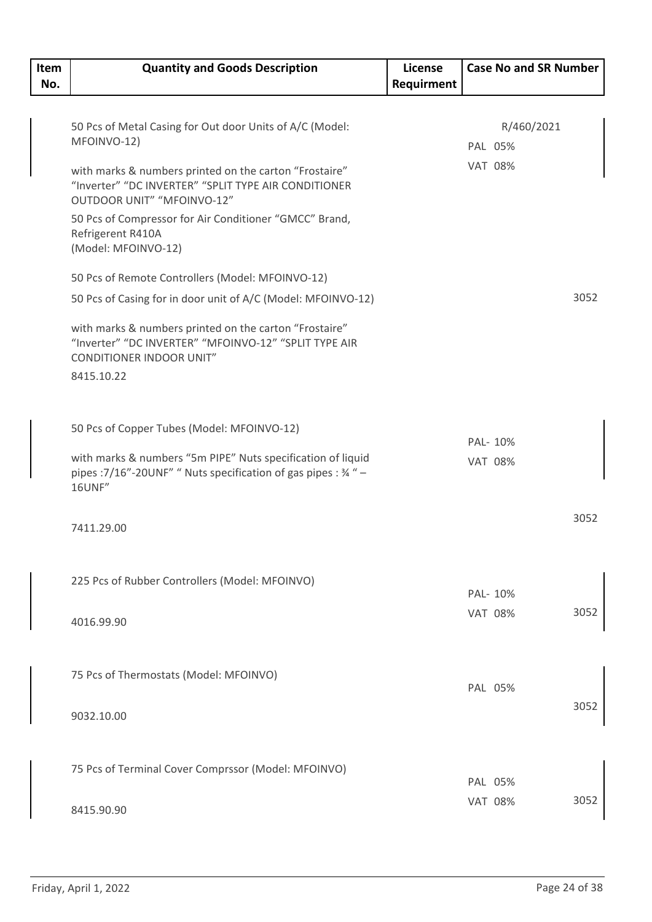| Item | <b>Quantity and Goods Description</b>                                                                                                              | License    | <b>Case No and SR Number</b> |      |
|------|----------------------------------------------------------------------------------------------------------------------------------------------------|------------|------------------------------|------|
| No.  |                                                                                                                                                    | Requirment |                              |      |
|      |                                                                                                                                                    |            |                              |      |
|      | 50 Pcs of Metal Casing for Out door Units of A/C (Model:                                                                                           |            | R/460/2021                   |      |
|      | MFOINVO-12)                                                                                                                                        |            | PAL 05%                      |      |
|      | with marks & numbers printed on the carton "Frostaire"                                                                                             |            | <b>VAT 08%</b>               |      |
|      | "Inverter" "DC INVERTER" "SPLIT TYPE AIR CONDITIONER<br>OUTDOOR UNIT" "MFOINVO-12"                                                                 |            |                              |      |
|      | 50 Pcs of Compressor for Air Conditioner "GMCC" Brand,<br>Refrigerent R410A<br>(Model: MFOINVO-12)                                                 |            |                              |      |
|      | 50 Pcs of Remote Controllers (Model: MFOINVO-12)                                                                                                   |            |                              |      |
|      | 50 Pcs of Casing for in door unit of A/C (Model: MFOINVO-12)                                                                                       |            |                              | 3052 |
|      | with marks & numbers printed on the carton "Frostaire"<br>"Inverter" "DC INVERTER" "MFOINVO-12" "SPLIT TYPE AIR<br><b>CONDITIONER INDOOR UNIT"</b> |            |                              |      |
|      | 8415.10.22                                                                                                                                         |            |                              |      |
|      |                                                                                                                                                    |            |                              |      |
|      | 50 Pcs of Copper Tubes (Model: MFOINVO-12)                                                                                                         |            | PAL- 10%                     |      |
|      | with marks & numbers "5m PIPE" Nuts specification of liquid<br>pipes : 7/16"-20UNF" " Nuts specification of gas pipes : 34 " -<br>16UNF"           |            | <b>VAT 08%</b>               |      |
|      | 7411.29.00                                                                                                                                         |            |                              | 3052 |
|      |                                                                                                                                                    |            |                              |      |
|      | 225 Pcs of Rubber Controllers (Model: MFOINVO)                                                                                                     |            | PAL- 10%                     |      |
|      |                                                                                                                                                    |            | <b>VAT 08%</b>               | 3052 |
|      | 4016.99.90                                                                                                                                         |            |                              |      |
|      |                                                                                                                                                    |            |                              |      |
|      | 75 Pcs of Thermostats (Model: MFOINVO)                                                                                                             |            | PAL 05%                      |      |
|      |                                                                                                                                                    |            |                              | 3052 |
|      | 9032.10.00                                                                                                                                         |            |                              |      |
|      |                                                                                                                                                    |            |                              |      |
|      | 75 Pcs of Terminal Cover Comprssor (Model: MFOINVO)                                                                                                |            | PAL 05%                      |      |
|      |                                                                                                                                                    |            | <b>VAT 08%</b>               | 3052 |
|      | 8415.90.90                                                                                                                                         |            |                              |      |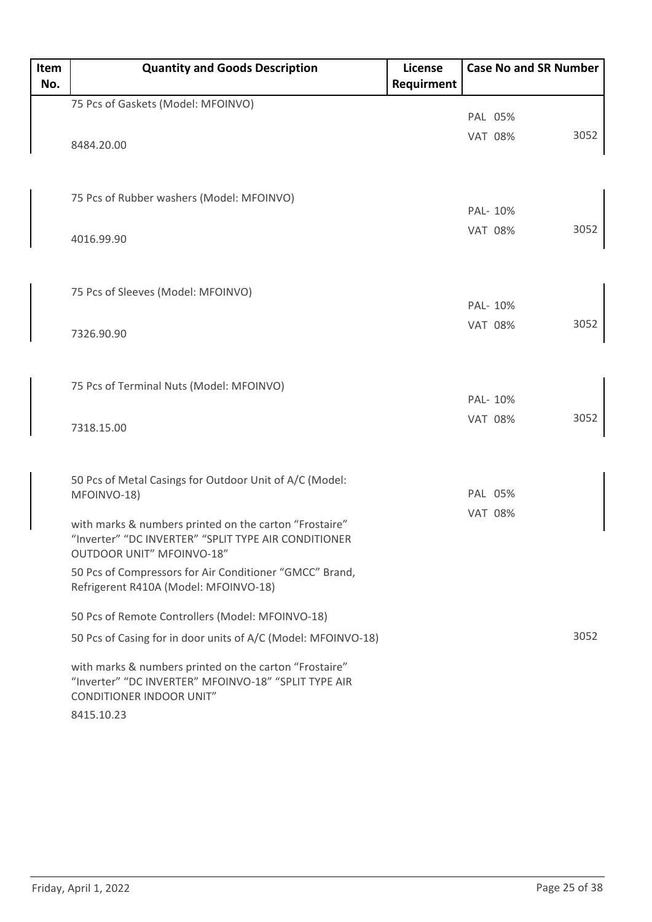| Item | <b>Quantity and Goods Description</b>                                             | <b>License</b> | <b>Case No and SR Number</b> |      |
|------|-----------------------------------------------------------------------------------|----------------|------------------------------|------|
| No.  |                                                                                   | Requirment     |                              |      |
|      | 75 Pcs of Gaskets (Model: MFOINVO)                                                |                |                              |      |
|      |                                                                                   |                | PAL 05%                      |      |
|      | 8484.20.00                                                                        |                | <b>VAT 08%</b>               | 3052 |
|      |                                                                                   |                |                              |      |
|      |                                                                                   |                |                              |      |
|      | 75 Pcs of Rubber washers (Model: MFOINVO)                                         |                |                              |      |
|      |                                                                                   |                | PAL- 10%                     |      |
|      | 4016.99.90                                                                        |                | <b>VAT 08%</b>               | 3052 |
|      |                                                                                   |                |                              |      |
|      |                                                                                   |                |                              |      |
|      | 75 Pcs of Sleeves (Model: MFOINVO)                                                |                | PAL- 10%                     |      |
|      |                                                                                   |                | <b>VAT 08%</b>               | 3052 |
|      | 7326.90.90                                                                        |                |                              |      |
|      |                                                                                   |                |                              |      |
|      |                                                                                   |                |                              |      |
|      | 75 Pcs of Terminal Nuts (Model: MFOINVO)                                          |                | PAL- 10%                     |      |
|      |                                                                                   |                | <b>VAT 08%</b>               | 3052 |
|      | 7318.15.00                                                                        |                |                              |      |
|      |                                                                                   |                |                              |      |
|      |                                                                                   |                |                              |      |
|      | 50 Pcs of Metal Casings for Outdoor Unit of A/C (Model:<br>MFOINVO-18)            |                | PAL 05%                      |      |
|      |                                                                                   |                | <b>VAT 08%</b>               |      |
|      | with marks & numbers printed on the carton "Frostaire"                            |                |                              |      |
|      | "Inverter" "DC INVERTER" "SPLIT TYPE AIR CONDITIONER<br>OUTDOOR UNIT" MFOINVO-18" |                |                              |      |
|      | 50 Pcs of Compressors for Air Conditioner "GMCC" Brand,                           |                |                              |      |
|      | Refrigerent R410A (Model: MFOINVO-18)                                             |                |                              |      |
|      |                                                                                   |                |                              |      |
|      | 50 Pcs of Remote Controllers (Model: MFOINVO-18)                                  |                |                              |      |
|      | 50 Pcs of Casing for in door units of A/C (Model: MFOINVO-18)                     |                |                              | 3052 |
|      | with marks & numbers printed on the carton "Frostaire"                            |                |                              |      |
|      | "Inverter" "DC INVERTER" MFOINVO-18" "SPLIT TYPE AIR                              |                |                              |      |
|      | <b>CONDITIONER INDOOR UNIT"</b>                                                   |                |                              |      |
|      | 8415.10.23                                                                        |                |                              |      |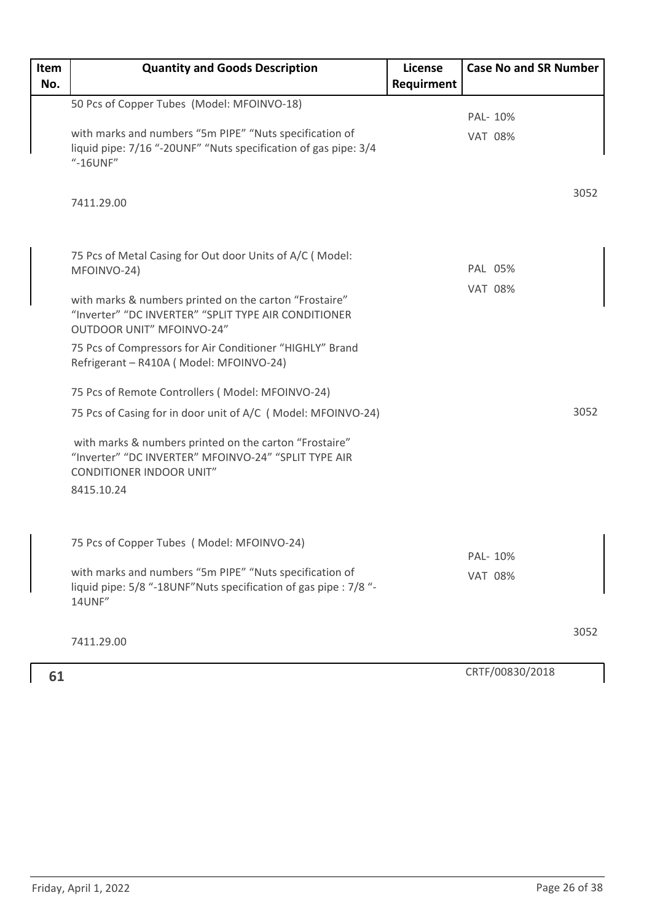| Item | <b>Quantity and Goods Description</b>                                                                                                              | License    | <b>Case No and SR Number</b> |      |
|------|----------------------------------------------------------------------------------------------------------------------------------------------------|------------|------------------------------|------|
| No.  |                                                                                                                                                    | Requirment |                              |      |
|      | 50 Pcs of Copper Tubes (Model: MFOINVO-18)                                                                                                         |            | PAL- 10%                     |      |
|      | with marks and numbers "5m PIPE" "Nuts specification of                                                                                            |            | <b>VAT 08%</b>               |      |
|      | liquid pipe: 7/16 "-20UNF" "Nuts specification of gas pipe: 3/4<br>"-16UNF"                                                                        |            |                              |      |
|      | 7411.29.00                                                                                                                                         |            |                              | 3052 |
|      | 75 Pcs of Metal Casing for Out door Units of A/C (Model:<br>MFOINVO-24)                                                                            |            | PAL 05%                      |      |
|      |                                                                                                                                                    |            | <b>VAT 08%</b>               |      |
|      | with marks & numbers printed on the carton "Frostaire"<br>"Inverter" "DC INVERTER" "SPLIT TYPE AIR CONDITIONER<br><b>OUTDOOR UNIT" MFOINVO-24"</b> |            |                              |      |
|      | 75 Pcs of Compressors for Air Conditioner "HIGHLY" Brand<br>Refrigerant - R410A (Model: MFOINVO-24)                                                |            |                              |      |
|      | 75 Pcs of Remote Controllers (Model: MFOINVO-24)                                                                                                   |            |                              |      |
|      | 75 Pcs of Casing for in door unit of A/C (Model: MFOINVO-24)                                                                                       |            |                              | 3052 |
|      | with marks & numbers printed on the carton "Frostaire"<br>"Inverter" "DC INVERTER" MFOINVO-24" "SPLIT TYPE AIR<br><b>CONDITIONER INDOOR UNIT"</b>  |            |                              |      |
|      | 8415.10.24                                                                                                                                         |            |                              |      |
|      | 75 Pcs of Copper Tubes (Model: MFOINVO-24)                                                                                                         |            |                              |      |
|      |                                                                                                                                                    |            | PAL- 10%                     |      |
|      | with marks and numbers "5m PIPE" "Nuts specification of<br>liquid pipe: 5/8 "-18UNF"Nuts specification of gas pipe : 7/8 "-<br>14UNF"              |            | <b>VAT 08%</b>               |      |
|      | 7411.29.00                                                                                                                                         |            |                              | 3052 |
|      |                                                                                                                                                    |            |                              |      |
| 61   |                                                                                                                                                    |            | CRTF/00830/2018              |      |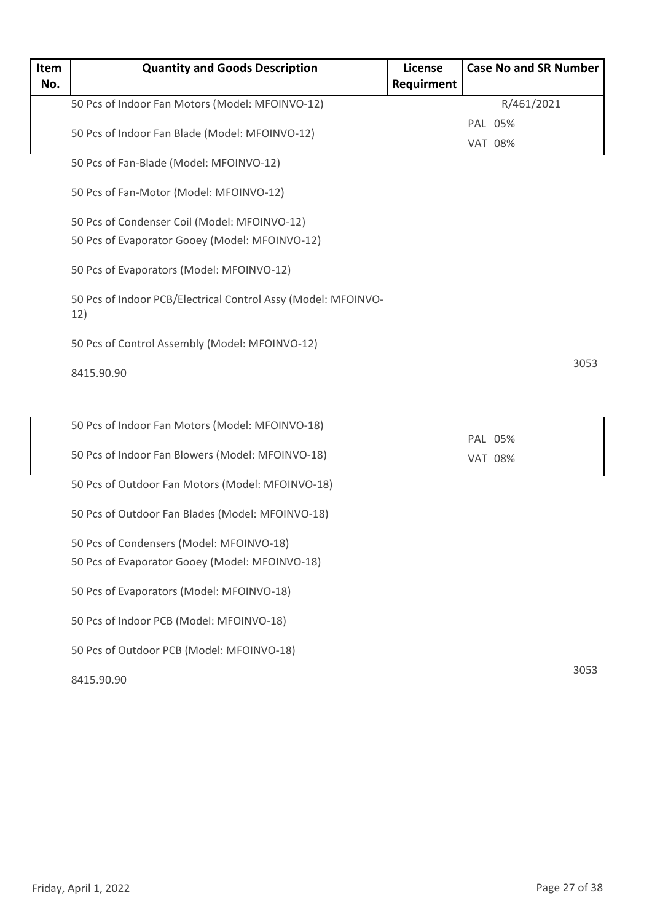| Item | <b>Quantity and Goods Description</b>                                                      | License    | <b>Case No and SR Number</b> |      |
|------|--------------------------------------------------------------------------------------------|------------|------------------------------|------|
| No.  |                                                                                            | Requirment |                              |      |
|      | 50 Pcs of Indoor Fan Motors (Model: MFOINVO-12)                                            |            | R/461/2021                   |      |
|      | 50 Pcs of Indoor Fan Blade (Model: MFOINVO-12)                                             |            | PAL 05%                      |      |
|      |                                                                                            |            | <b>VAT 08%</b>               |      |
|      | 50 Pcs of Fan-Blade (Model: MFOINVO-12)                                                    |            |                              |      |
|      | 50 Pcs of Fan-Motor (Model: MFOINVO-12)                                                    |            |                              |      |
|      | 50 Pcs of Condenser Coil (Model: MFOINVO-12)                                               |            |                              |      |
|      | 50 Pcs of Evaporator Gooey (Model: MFOINVO-12)                                             |            |                              |      |
|      | 50 Pcs of Evaporators (Model: MFOINVO-12)                                                  |            |                              |      |
|      | 50 Pcs of Indoor PCB/Electrical Control Assy (Model: MFOINVO-<br>12)                       |            |                              |      |
|      | 50 Pcs of Control Assembly (Model: MFOINVO-12)                                             |            |                              |      |
|      | 8415.90.90                                                                                 |            |                              | 3053 |
|      |                                                                                            |            |                              |      |
|      | 50 Pcs of Indoor Fan Motors (Model: MFOINVO-18)                                            |            |                              |      |
|      |                                                                                            |            | PAL 05%                      |      |
|      | 50 Pcs of Indoor Fan Blowers (Model: MFOINVO-18)                                           |            | <b>VAT 08%</b>               |      |
|      | 50 Pcs of Outdoor Fan Motors (Model: MFOINVO-18)                                           |            |                              |      |
|      | 50 Pcs of Outdoor Fan Blades (Model: MFOINVO-18)                                           |            |                              |      |
|      |                                                                                            |            |                              |      |
|      | 50 Pcs of Condensers (Model: MFOINVO-18)<br>50 Pcs of Evaporator Gooey (Model: MFOINVO-18) |            |                              |      |
|      |                                                                                            |            |                              |      |
|      | 50 Pcs of Evaporators (Model: MFOINVO-18)                                                  |            |                              |      |
|      | 50 Pcs of Indoor PCB (Model: MFOINVO-18)                                                   |            |                              |      |
|      | 50 Pcs of Outdoor PCB (Model: MFOINVO-18)                                                  |            |                              |      |
|      | 8415.90.90                                                                                 |            |                              | 3053 |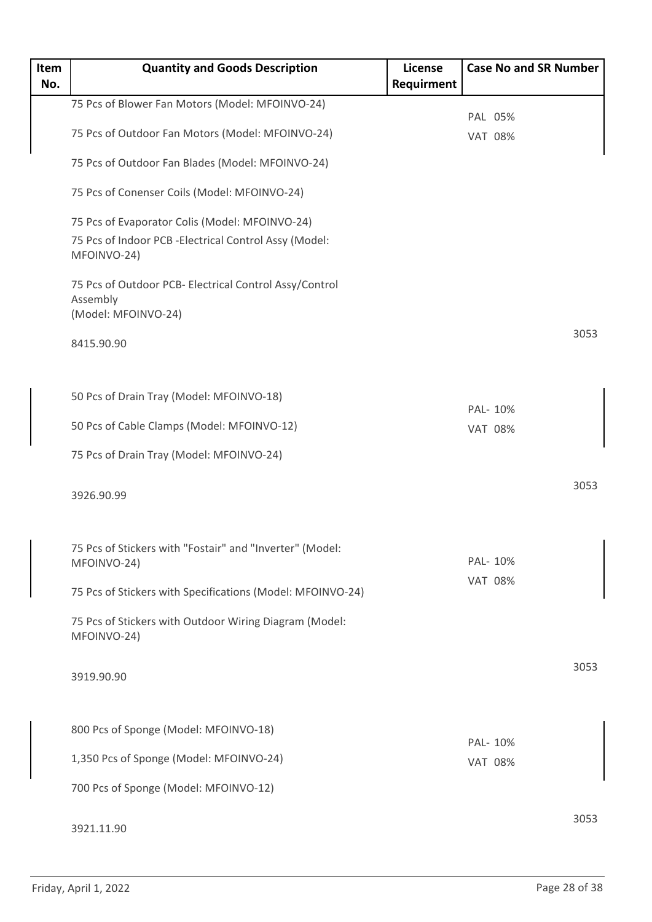| Item<br>No. | <b>Quantity and Goods Description</b>                                   | <b>License</b><br>Requirment | <b>Case No and SR Number</b> |      |
|-------------|-------------------------------------------------------------------------|------------------------------|------------------------------|------|
|             | 75 Pcs of Blower Fan Motors (Model: MFOINVO-24)                         |                              | PAL 05%                      |      |
|             | 75 Pcs of Outdoor Fan Motors (Model: MFOINVO-24)                        |                              | <b>VAT 08%</b>               |      |
|             | 75 Pcs of Outdoor Fan Blades (Model: MFOINVO-24)                        |                              |                              |      |
|             | 75 Pcs of Conenser Coils (Model: MFOINVO-24)                            |                              |                              |      |
|             | 75 Pcs of Evaporator Colis (Model: MFOINVO-24)                          |                              |                              |      |
|             | 75 Pcs of Indoor PCB - Electrical Control Assy (Model:<br>MFOINVO-24)   |                              |                              |      |
|             | 75 Pcs of Outdoor PCB- Electrical Control Assy/Control                  |                              |                              |      |
|             | Assembly<br>(Model: MFOINVO-24)                                         |                              |                              |      |
|             | 8415.90.90                                                              |                              |                              | 3053 |
|             | 50 Pcs of Drain Tray (Model: MFOINVO-18)                                |                              |                              |      |
|             |                                                                         |                              | PAL- 10%                     |      |
|             | 50 Pcs of Cable Clamps (Model: MFOINVO-12)                              |                              | <b>VAT 08%</b>               |      |
|             | 75 Pcs of Drain Tray (Model: MFOINVO-24)                                |                              |                              |      |
|             | 3926.90.99                                                              |                              |                              | 3053 |
|             | 75 Pcs of Stickers with "Fostair" and "Inverter" (Model:<br>MFOINVO-24) |                              | PAL- 10%                     |      |
|             |                                                                         |                              | <b>VAT 08%</b>               |      |
|             | 75 Pcs of Stickers with Specifications (Model: MFOINVO-24)              |                              |                              |      |
|             | 75 Pcs of Stickers with Outdoor Wiring Diagram (Model:<br>MFOINVO-24)   |                              |                              |      |
|             | 3919.90.90                                                              |                              |                              | 3053 |
|             |                                                                         |                              |                              |      |
|             | 800 Pcs of Sponge (Model: MFOINVO-18)                                   |                              | PAL- 10%                     |      |
|             | 1,350 Pcs of Sponge (Model: MFOINVO-24)                                 |                              | <b>VAT 08%</b>               |      |
|             | 700 Pcs of Sponge (Model: MFOINVO-12)                                   |                              |                              |      |
|             | 3921.11.90                                                              |                              |                              | 3053 |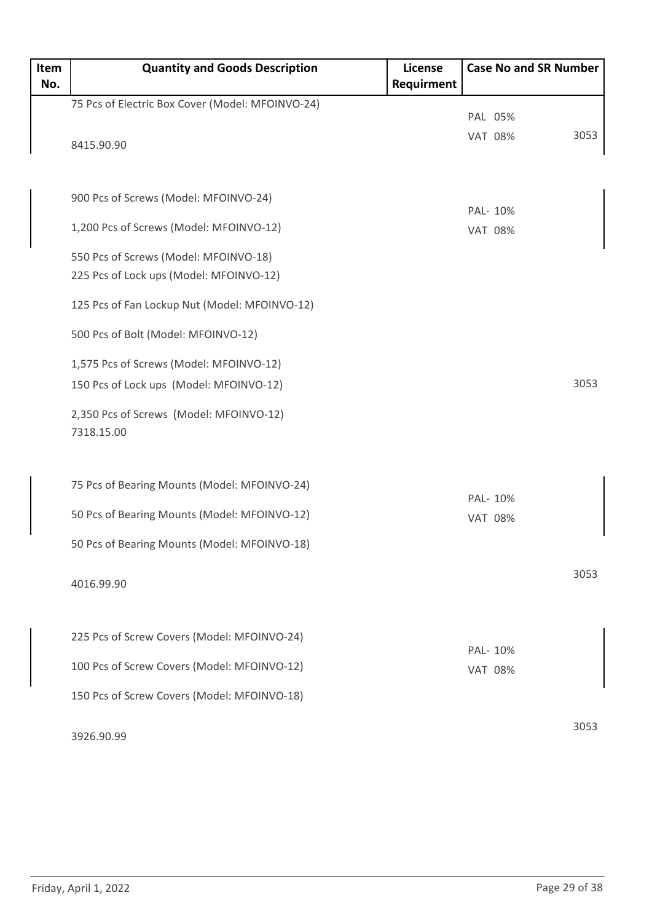| Item | <b>Quantity and Goods Description</b>            | <b>License</b> | <b>Case No and SR Number</b> |      |
|------|--------------------------------------------------|----------------|------------------------------|------|
| No.  |                                                  | Requirment     |                              |      |
|      | 75 Pcs of Electric Box Cover (Model: MFOINVO-24) |                |                              |      |
|      |                                                  |                | PAL 05%                      | 3053 |
|      | 8415.90.90                                       |                | <b>VAT 08%</b>               |      |
|      |                                                  |                |                              |      |
|      |                                                  |                |                              |      |
|      | 900 Pcs of Screws (Model: MFOINVO-24)            |                | PAL- 10%                     |      |
|      | 1,200 Pcs of Screws (Model: MFOINVO-12)          |                | <b>VAT 08%</b>               |      |
|      |                                                  |                |                              |      |
|      | 550 Pcs of Screws (Model: MFOINVO-18)            |                |                              |      |
|      | 225 Pcs of Lock ups (Model: MFOINVO-12)          |                |                              |      |
|      | 125 Pcs of Fan Lockup Nut (Model: MFOINVO-12)    |                |                              |      |
|      | 500 Pcs of Bolt (Model: MFOINVO-12)              |                |                              |      |
|      |                                                  |                |                              |      |
|      | 1,575 Pcs of Screws (Model: MFOINVO-12)          |                |                              |      |
|      | 150 Pcs of Lock ups (Model: MFOINVO-12)          |                |                              | 3053 |
|      | 2,350 Pcs of Screws (Model: MFOINVO-12)          |                |                              |      |
|      | 7318.15.00                                       |                |                              |      |
|      |                                                  |                |                              |      |
|      |                                                  |                |                              |      |
|      | 75 Pcs of Bearing Mounts (Model: MFOINVO-24)     |                | PAL- 10%                     |      |
|      | 50 Pcs of Bearing Mounts (Model: MFOINVO-12)     |                |                              |      |
|      |                                                  |                | <b>VAT 08%</b>               |      |
|      | 50 Pcs of Bearing Mounts (Model: MFOINVO-18)     |                |                              |      |
|      |                                                  |                |                              | 3053 |
|      | 4016.99.90                                       |                |                              |      |
|      |                                                  |                |                              |      |
|      | 225 Pcs of Screw Covers (Model: MFOINVO-24)      |                |                              |      |
|      |                                                  |                | PAL- 10%                     |      |
|      | 100 Pcs of Screw Covers (Model: MFOINVO-12)      |                | <b>VAT 08%</b>               |      |
|      | 150 Pcs of Screw Covers (Model: MFOINVO-18)      |                |                              |      |
|      |                                                  |                |                              |      |
|      | 3926.90.99                                       |                |                              | 3053 |
|      |                                                  |                |                              |      |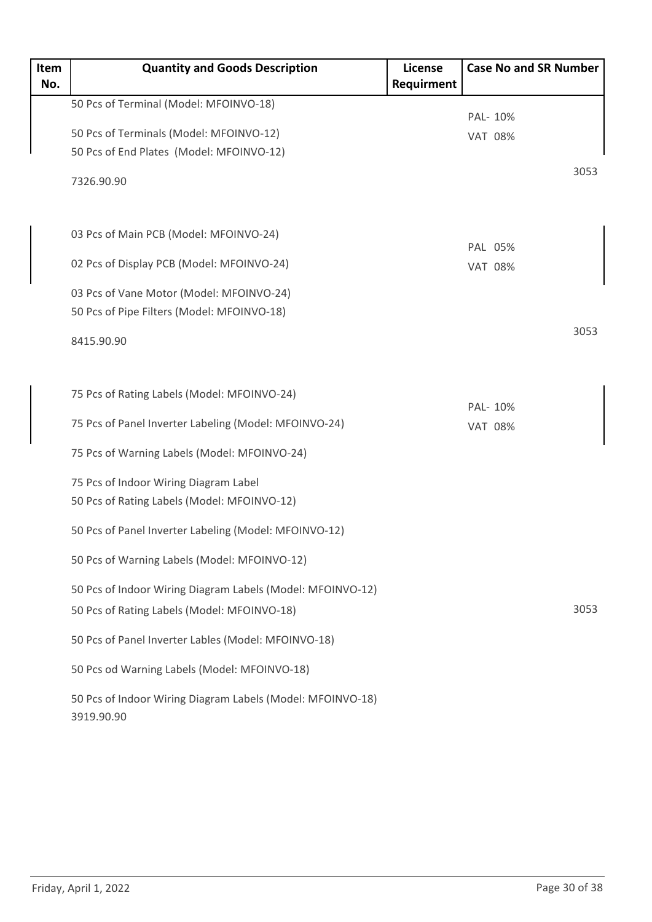| Item<br>No. | <b>Quantity and Goods Description</b>                                    | <b>License</b><br>Requirment | <b>Case No and SR Number</b> |
|-------------|--------------------------------------------------------------------------|------------------------------|------------------------------|
|             |                                                                          |                              |                              |
|             | 50 Pcs of Terminal (Model: MFOINVO-18)                                   |                              | PAL- 10%                     |
|             | 50 Pcs of Terminals (Model: MFOINVO-12)                                  |                              | <b>VAT 08%</b>               |
|             | 50 Pcs of End Plates (Model: MFOINVO-12)                                 |                              |                              |
|             | 7326.90.90                                                               |                              | 3053                         |
|             | 03 Pcs of Main PCB (Model: MFOINVO-24)                                   |                              | PAL 05%                      |
|             | 02 Pcs of Display PCB (Model: MFOINVO-24)                                |                              | <b>VAT 08%</b>               |
|             | 03 Pcs of Vane Motor (Model: MFOINVO-24)                                 |                              |                              |
|             | 50 Pcs of Pipe Filters (Model: MFOINVO-18)                               |                              |                              |
|             | 8415.90.90                                                               |                              | 3053                         |
|             | 75 Pcs of Rating Labels (Model: MFOINVO-24)                              |                              | PAL- 10%                     |
|             | 75 Pcs of Panel Inverter Labeling (Model: MFOINVO-24)                    |                              | <b>VAT 08%</b>               |
|             | 75 Pcs of Warning Labels (Model: MFOINVO-24)                             |                              |                              |
|             | 75 Pcs of Indoor Wiring Diagram Label                                    |                              |                              |
|             | 50 Pcs of Rating Labels (Model: MFOINVO-12)                              |                              |                              |
|             | 50 Pcs of Panel Inverter Labeling (Model: MFOINVO-12)                    |                              |                              |
|             | 50 Pcs of Warning Labels (Model: MFOINVO-12)                             |                              |                              |
|             | 50 Pcs of Indoor Wiring Diagram Labels (Model: MFOINVO-12)               |                              |                              |
|             | 50 Pcs of Rating Labels (Model: MFOINVO-18)                              |                              | 3053                         |
|             | 50 Pcs of Panel Inverter Lables (Model: MFOINVO-18)                      |                              |                              |
|             | 50 Pcs od Warning Labels (Model: MFOINVO-18)                             |                              |                              |
|             | 50 Pcs of Indoor Wiring Diagram Labels (Model: MFOINVO-18)<br>3919.90.90 |                              |                              |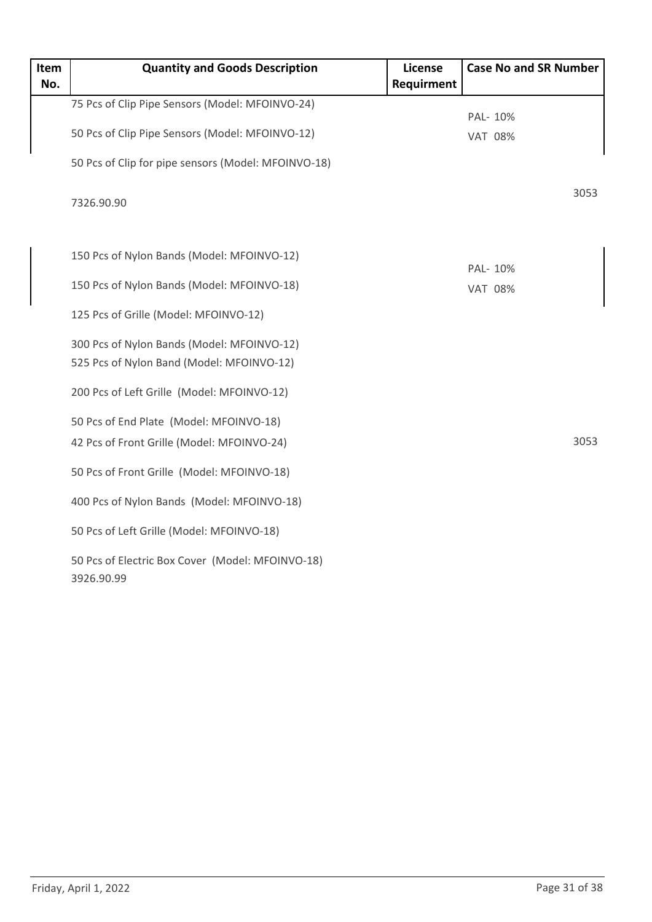| Item<br>No. | <b>Quantity and Goods Description</b>                                                   | <b>License</b><br>Requirment | <b>Case No and SR Number</b> |
|-------------|-----------------------------------------------------------------------------------------|------------------------------|------------------------------|
|             | 75 Pcs of Clip Pipe Sensors (Model: MFOINVO-24)                                         |                              | PAL- 10%                     |
|             | 50 Pcs of Clip Pipe Sensors (Model: MFOINVO-12)                                         |                              | <b>VAT 08%</b>               |
|             | 50 Pcs of Clip for pipe sensors (Model: MFOINVO-18)                                     |                              |                              |
|             | 7326.90.90                                                                              |                              | 3053                         |
|             | 150 Pcs of Nylon Bands (Model: MFOINVO-12)                                              |                              |                              |
|             | 150 Pcs of Nylon Bands (Model: MFOINVO-18)                                              |                              | PAL- 10%<br><b>VAT 08%</b>   |
|             | 125 Pcs of Grille (Model: MFOINVO-12)                                                   |                              |                              |
|             | 300 Pcs of Nylon Bands (Model: MFOINVO-12)<br>525 Pcs of Nylon Band (Model: MFOINVO-12) |                              |                              |
|             | 200 Pcs of Left Grille (Model: MFOINVO-12)                                              |                              |                              |
|             | 50 Pcs of End Plate (Model: MFOINVO-18)<br>42 Pcs of Front Grille (Model: MFOINVO-24)   |                              | 3053                         |
|             | 50 Pcs of Front Grille (Model: MFOINVO-18)                                              |                              |                              |
|             | 400 Pcs of Nylon Bands (Model: MFOINVO-18)                                              |                              |                              |
|             | 50 Pcs of Left Grille (Model: MFOINVO-18)                                               |                              |                              |
|             | 50 Pcs of Electric Box Cover (Model: MFOINVO-18)<br>3926.90.99                          |                              |                              |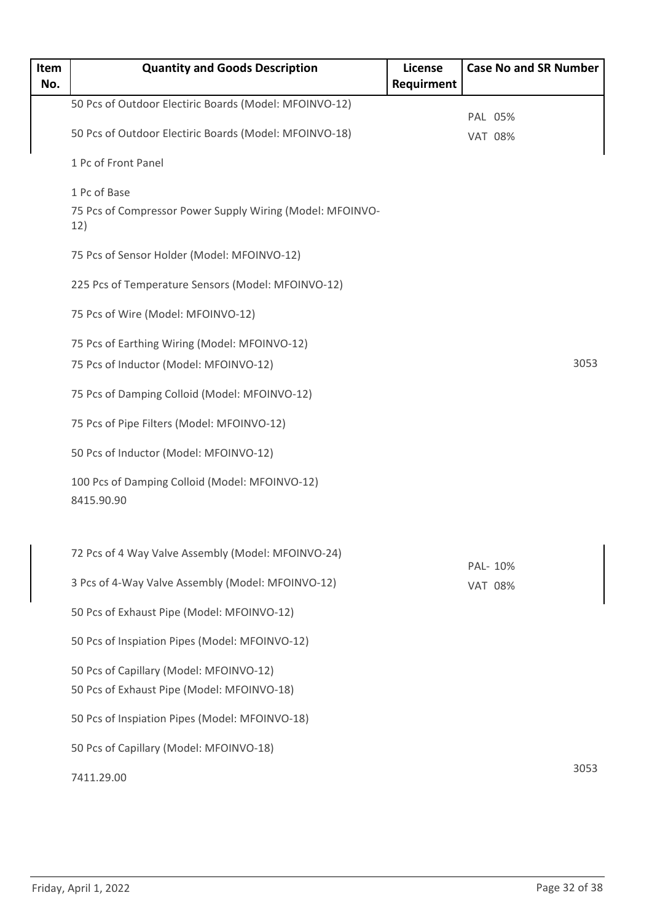| Item<br>No. | <b>Quantity and Goods Description</b>                            | License<br>Requirment | <b>Case No and SR Number</b> |
|-------------|------------------------------------------------------------------|-----------------------|------------------------------|
|             | 50 Pcs of Outdoor Electiric Boards (Model: MFOINVO-12)           |                       |                              |
|             | 50 Pcs of Outdoor Electiric Boards (Model: MFOINVO-18)           |                       | PAL 05%<br><b>VAT 08%</b>    |
|             | 1 Pc of Front Panel                                              |                       |                              |
|             | 1 Pc of Base                                                     |                       |                              |
|             | 75 Pcs of Compressor Power Supply Wiring (Model: MFOINVO-<br>12) |                       |                              |
|             | 75 Pcs of Sensor Holder (Model: MFOINVO-12)                      |                       |                              |
|             | 225 Pcs of Temperature Sensors (Model: MFOINVO-12)               |                       |                              |
|             | 75 Pcs of Wire (Model: MFOINVO-12)                               |                       |                              |
|             | 75 Pcs of Earthing Wiring (Model: MFOINVO-12)                    |                       |                              |
|             | 75 Pcs of Inductor (Model: MFOINVO-12)                           |                       | 3053                         |
|             | 75 Pcs of Damping Colloid (Model: MFOINVO-12)                    |                       |                              |
|             | 75 Pcs of Pipe Filters (Model: MFOINVO-12)                       |                       |                              |
|             | 50 Pcs of Inductor (Model: MFOINVO-12)                           |                       |                              |
|             | 100 Pcs of Damping Colloid (Model: MFOINVO-12)<br>8415.90.90     |                       |                              |
|             | 72 Pcs of 4 Way Valve Assembly (Model: MFOINVO-24)               |                       |                              |
|             | 3 Pcs of 4-Way Valve Assembly (Model: MFOINVO-12)                |                       | PAL- 10%<br><b>VAT 08%</b>   |
|             | 50 Pcs of Exhaust Pipe (Model: MFOINVO-12)                       |                       |                              |
|             | 50 Pcs of Inspiation Pipes (Model: MFOINVO-12)                   |                       |                              |
|             | 50 Pcs of Capillary (Model: MFOINVO-12)                          |                       |                              |
|             | 50 Pcs of Exhaust Pipe (Model: MFOINVO-18)                       |                       |                              |
|             | 50 Pcs of Inspiation Pipes (Model: MFOINVO-18)                   |                       |                              |
|             | 50 Pcs of Capillary (Model: MFOINVO-18)                          |                       |                              |
|             | 7411.29.00                                                       |                       | 3053                         |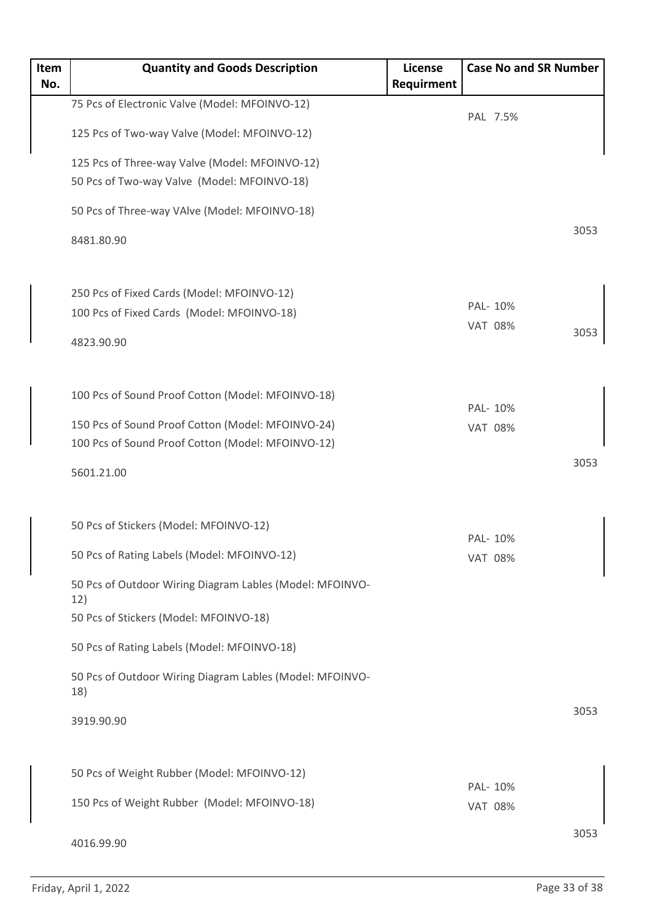| Item | <b>Quantity and Goods Description</b>                           | License    | <b>Case No and SR Number</b> |      |
|------|-----------------------------------------------------------------|------------|------------------------------|------|
| No.  |                                                                 | Requirment |                              |      |
|      | 75 Pcs of Electronic Valve (Model: MFOINVO-12)                  |            | PAL 7.5%                     |      |
|      | 125 Pcs of Two-way Valve (Model: MFOINVO-12)                    |            |                              |      |
|      | 125 Pcs of Three-way Valve (Model: MFOINVO-12)                  |            |                              |      |
|      | 50 Pcs of Two-way Valve (Model: MFOINVO-18)                     |            |                              |      |
|      | 50 Pcs of Three-way VAlve (Model: MFOINVO-18)                   |            |                              |      |
|      | 8481.80.90                                                      |            |                              | 3053 |
|      | 250 Pcs of Fixed Cards (Model: MFOINVO-12)                      |            |                              |      |
|      | 100 Pcs of Fixed Cards (Model: MFOINVO-18)                      |            | PAL- 10%                     |      |
|      |                                                                 |            | <b>VAT 08%</b>               | 3053 |
|      | 4823.90.90                                                      |            |                              |      |
|      | 100 Pcs of Sound Proof Cotton (Model: MFOINVO-18)               |            | PAL- 10%                     |      |
|      | 150 Pcs of Sound Proof Cotton (Model: MFOINVO-24)               |            | <b>VAT 08%</b>               |      |
|      | 100 Pcs of Sound Proof Cotton (Model: MFOINVO-12)               |            |                              |      |
|      | 5601.21.00                                                      |            |                              | 3053 |
|      | 50 Pcs of Stickers (Model: MFOINVO-12)                          |            |                              |      |
|      | 50 Pcs of Rating Labels (Model: MFOINVO-12)                     |            | PAL- 10%<br><b>VAT 08%</b>   |      |
|      | 50 Pcs of Outdoor Wiring Diagram Lables (Model: MFOINVO-<br>12) |            |                              |      |
|      | 50 Pcs of Stickers (Model: MFOINVO-18)                          |            |                              |      |
|      | 50 Pcs of Rating Labels (Model: MFOINVO-18)                     |            |                              |      |
|      | 50 Pcs of Outdoor Wiring Diagram Lables (Model: MFOINVO-<br>18) |            |                              |      |
|      | 3919.90.90                                                      |            |                              | 3053 |
|      | 50 Pcs of Weight Rubber (Model: MFOINVO-12)                     |            |                              |      |
|      | 150 Pcs of Weight Rubber (Model: MFOINVO-18)                    |            | PAL- 10%<br><b>VAT 08%</b>   |      |
|      | 4016.99.90                                                      |            |                              | 3053 |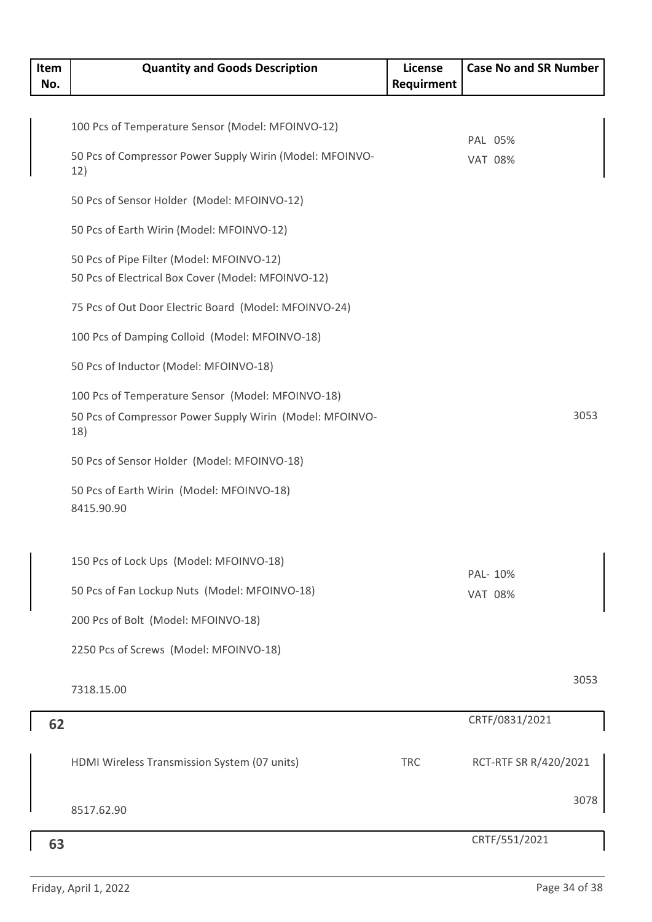| Item<br>No. | <b>Quantity and Goods Description</b>                                                                                | License<br>Requirment | <b>Case No and SR Number</b> |
|-------------|----------------------------------------------------------------------------------------------------------------------|-----------------------|------------------------------|
|             |                                                                                                                      |                       |                              |
|             | 100 Pcs of Temperature Sensor (Model: MFOINVO-12)                                                                    |                       |                              |
|             | 50 Pcs of Compressor Power Supply Wirin (Model: MFOINVO-<br>12)                                                      |                       | PAL 05%<br><b>VAT 08%</b>    |
|             | 50 Pcs of Sensor Holder (Model: MFOINVO-12)                                                                          |                       |                              |
|             | 50 Pcs of Earth Wirin (Model: MFOINVO-12)                                                                            |                       |                              |
|             | 50 Pcs of Pipe Filter (Model: MFOINVO-12)<br>50 Pcs of Electrical Box Cover (Model: MFOINVO-12)                      |                       |                              |
|             | 75 Pcs of Out Door Electric Board (Model: MFOINVO-24)                                                                |                       |                              |
|             | 100 Pcs of Damping Colloid (Model: MFOINVO-18)                                                                       |                       |                              |
|             | 50 Pcs of Inductor (Model: MFOINVO-18)                                                                               |                       |                              |
|             | 100 Pcs of Temperature Sensor (Model: MFOINVO-18)<br>50 Pcs of Compressor Power Supply Wirin (Model: MFOINVO-<br>18) |                       | 3053                         |
|             | 50 Pcs of Sensor Holder (Model: MFOINVO-18)                                                                          |                       |                              |
|             | 50 Pcs of Earth Wirin (Model: MFOINVO-18)<br>8415.90.90                                                              |                       |                              |
|             | 150 Pcs of Lock Ups (Model: MFOINVO-18)                                                                              |                       |                              |
|             | 50 Pcs of Fan Lockup Nuts (Model: MFOINVO-18)                                                                        |                       | PAL- 10%<br><b>VAT 08%</b>   |
|             | 200 Pcs of Bolt (Model: MFOINVO-18)                                                                                  |                       |                              |
|             | 2250 Pcs of Screws (Model: MFOINVO-18)                                                                               |                       |                              |
|             | 7318.15.00                                                                                                           |                       | 3053                         |
| 62          |                                                                                                                      |                       | CRTF/0831/2021               |
|             | HDMI Wireless Transmission System (07 units)                                                                         | <b>TRC</b>            | RCT-RTF SR R/420/2021        |
|             | 8517.62.90                                                                                                           |                       | 3078                         |
| 63          |                                                                                                                      |                       | CRTF/551/2021                |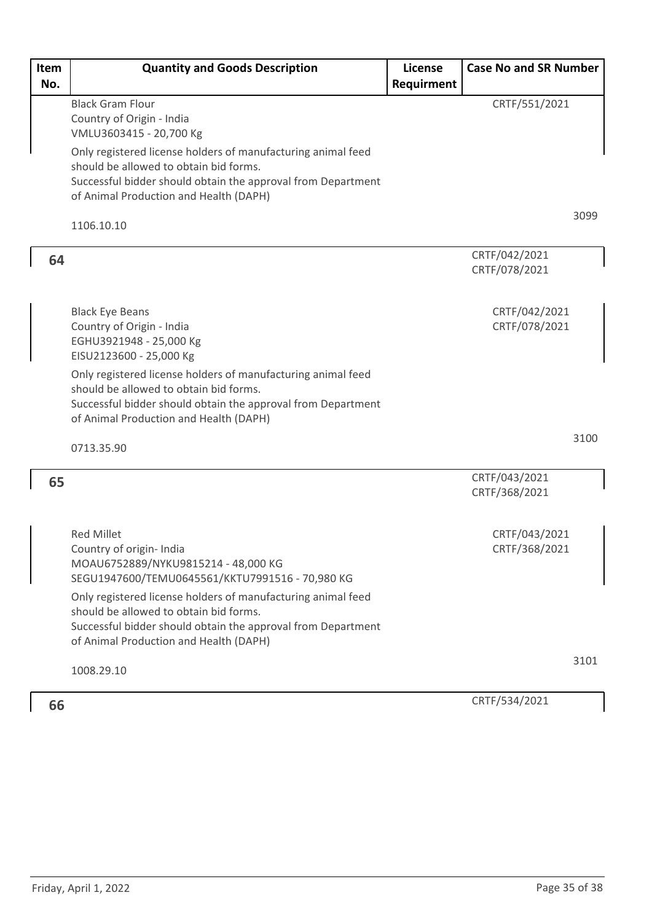| <b>Item</b><br>No. | <b>Quantity and Goods Description</b>                                                                                                                                                                            | License<br>Requirment | <b>Case No and SR Number</b>   |
|--------------------|------------------------------------------------------------------------------------------------------------------------------------------------------------------------------------------------------------------|-----------------------|--------------------------------|
|                    | <b>Black Gram Flour</b>                                                                                                                                                                                          |                       | CRTF/551/2021                  |
|                    | Country of Origin - India<br>VMLU3603415 - 20,700 Kg                                                                                                                                                             |                       |                                |
|                    | Only registered license holders of manufacturing animal feed<br>should be allowed to obtain bid forms.<br>Successful bidder should obtain the approval from Department<br>of Animal Production and Health (DAPH) |                       |                                |
|                    | 1106.10.10                                                                                                                                                                                                       |                       | 3099                           |
| 64                 |                                                                                                                                                                                                                  |                       | CRTF/042/2021<br>CRTF/078/2021 |
|                    | <b>Black Eye Beans</b><br>Country of Origin - India<br>EGHU3921948 - 25,000 Kg<br>EISU2123600 - 25,000 Kg                                                                                                        |                       | CRTF/042/2021<br>CRTF/078/2021 |
|                    | Only registered license holders of manufacturing animal feed<br>should be allowed to obtain bid forms.<br>Successful bidder should obtain the approval from Department<br>of Animal Production and Health (DAPH) |                       |                                |
|                    | 0713.35.90                                                                                                                                                                                                       |                       | 3100                           |
| 65                 |                                                                                                                                                                                                                  |                       | CRTF/043/2021<br>CRTF/368/2021 |
|                    | <b>Red Millet</b><br>Country of origin- India<br>MOAU6752889/NYKU9815214 - 48,000 KG<br>SEGU1947600/TEMU0645561/KKTU7991516 - 70,980 KG                                                                          |                       | CRTF/043/2021<br>CRTF/368/2021 |
|                    | Only registered license holders of manufacturing animal feed<br>should be allowed to obtain bid forms.<br>Successful bidder should obtain the approval from Department<br>of Animal Production and Health (DAPH) |                       |                                |
|                    | 1008.29.10                                                                                                                                                                                                       |                       | 3101                           |
| 66                 |                                                                                                                                                                                                                  |                       | CRTF/534/2021                  |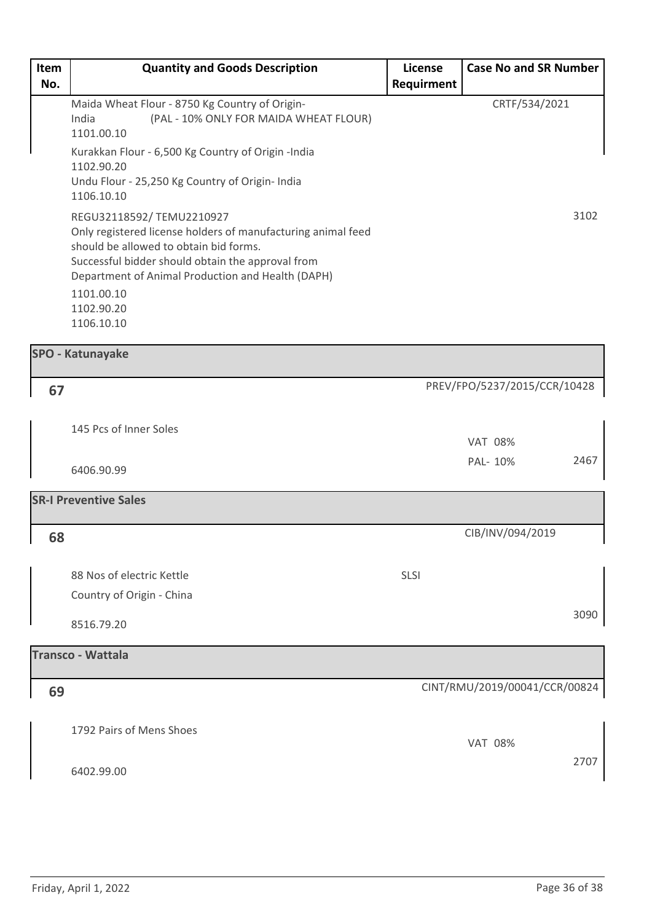| Item | <b>Quantity and Goods Description</b>                                                                                                                                                                                                        | License    | <b>Case No and SR Number</b> |
|------|----------------------------------------------------------------------------------------------------------------------------------------------------------------------------------------------------------------------------------------------|------------|------------------------------|
| No.  |                                                                                                                                                                                                                                              | Requirment |                              |
|      | Maida Wheat Flour - 8750 Kg Country of Origin-<br>India<br>(PAL - 10% ONLY FOR MAIDA WHEAT FLOUR)<br>1101.00.10                                                                                                                              |            | CRTF/534/2021                |
|      | Kurakkan Flour - 6,500 Kg Country of Origin -India<br>1102.90.20<br>Undu Flour - 25,250 Kg Country of Origin- India<br>1106.10.10                                                                                                            |            |                              |
|      | REGU32118592/TEMU2210927<br>Only registered license holders of manufacturing animal feed<br>should be allowed to obtain bid forms.<br>Successful bidder should obtain the approval from<br>Department of Animal Production and Health (DAPH) |            | 3102                         |
|      | 1101.00.10<br>1102.90.20<br>1106.10.10                                                                                                                                                                                                       |            |                              |

| <b>SPO - Katunayake</b>                                |                               |
|--------------------------------------------------------|-------------------------------|
| 67                                                     | PREV/FPO/5237/2015/CCR/10428  |
| 145 Pcs of Inner Soles                                 | <b>VAT 08%</b>                |
| 6406.90.99                                             | 2467<br>PAL- 10%              |
| <b>SR-I Preventive Sales</b>                           |                               |
| 68                                                     | CIB/INV/094/2019              |
| 88 Nos of electric Kettle<br>Country of Origin - China | SLSI                          |
| 8516.79.20                                             | 3090                          |
| <b>Transco - Wattala</b>                               |                               |
| 69                                                     | CINT/RMU/2019/00041/CCR/00824 |
| 1792 Pairs of Mens Shoes                               | <b>VAT 08%</b>                |

2707

6402.99.00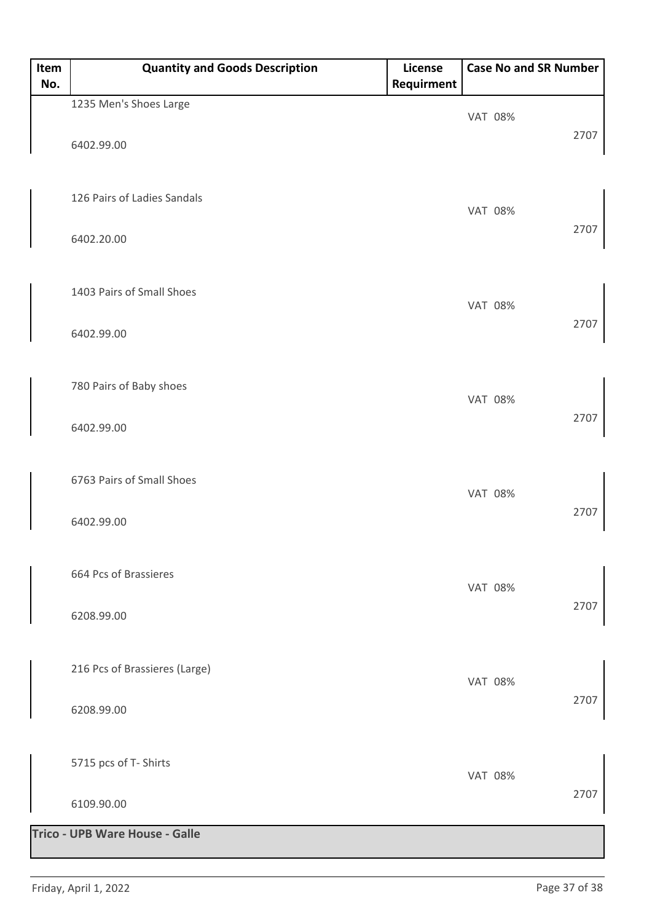| Item<br>No. | <b>Quantity and Goods Description</b> | License<br>Requirment | <b>Case No and SR Number</b> |      |
|-------------|---------------------------------------|-----------------------|------------------------------|------|
|             | 1235 Men's Shoes Large                |                       | <b>VAT 08%</b>               |      |
|             | 6402.99.00                            |                       |                              | 2707 |
|             | 126 Pairs of Ladies Sandals           |                       | <b>VAT 08%</b>               |      |
|             | 6402.20.00                            |                       |                              | 2707 |
|             | 1403 Pairs of Small Shoes             |                       | <b>VAT 08%</b>               |      |
|             | 6402.99.00                            |                       |                              | 2707 |
|             | 780 Pairs of Baby shoes               |                       | <b>VAT 08%</b>               |      |
|             | 6402.99.00                            |                       |                              | 2707 |
|             | 6763 Pairs of Small Shoes             |                       | <b>VAT 08%</b>               |      |
|             | 6402.99.00                            |                       |                              | 2707 |
|             | 664 Pcs of Brassieres                 |                       | <b>VAT 08%</b>               |      |
|             | 6208.99.00                            |                       |                              | 2707 |
|             | 216 Pcs of Brassieres (Large)         |                       | <b>VAT 08%</b>               |      |
|             | 6208.99.00                            |                       |                              | 2707 |
|             | 5715 pcs of T- Shirts                 |                       | <b>VAT 08%</b>               |      |
|             | 6109.90.00                            |                       |                              | 2707 |
|             | <b>Trico - UPB Ware House - Galle</b> |                       |                              |      |